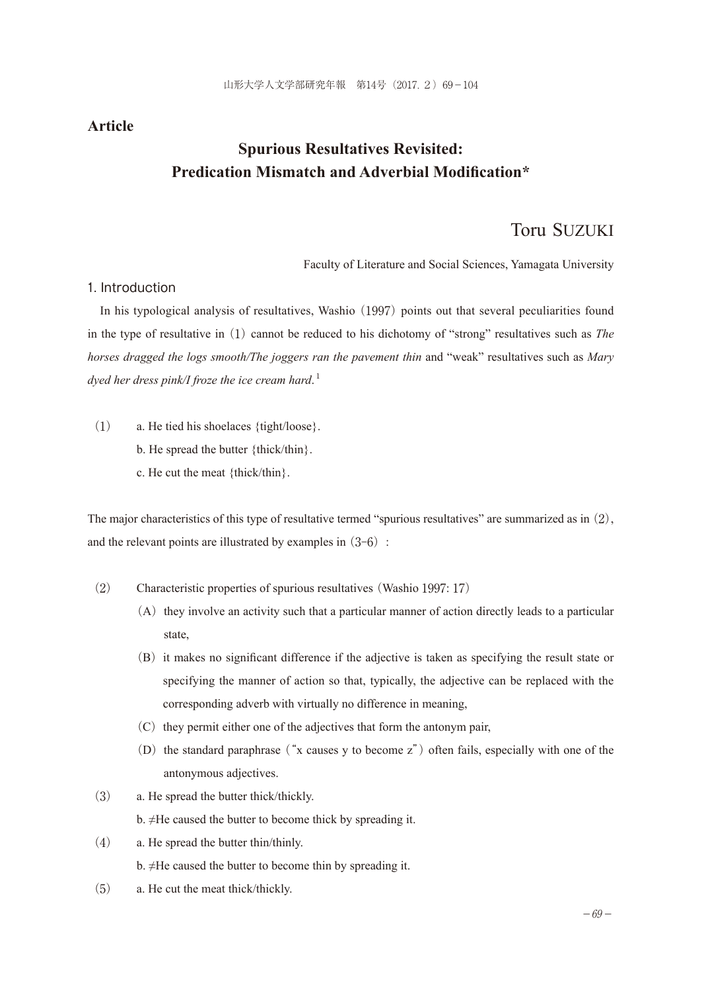## **Article**

# **Spurious Resultatives Revisited: Predication Mismatch and Adverbial Modification\***

## Toru SUZUKI

Faculty of Literature and Social Sciences, Yamagata University

### 1. Introduction

In his typological analysis of resultatives, Washio (1997) points out that several peculiarities found in the type of resultative in (1) cannot be reduced to his dichotomy of "strong" resultatives such as *The horses dragged the logs smooth/The joggers ran the pavement thin* and "weak" resultatives such as *Mary dyed her dress pink/I froze the ice cream hard*. 1

- (1) a. He tied his shoelaces {tight/loose}.
	- b. He spread the butter {thick/thin}.
	- c. He cut the meat {thick/thin}.

The major characteristics of this type of resultative termed "spurious resultatives" are summarized as in (2), and the relevant points are illustrated by examples in  $(3-6)$ :

- (2) Characteristic properties of spurious resultatives (Washio 1997: 17)
	- $(A)$  they involve an activity such that a particular manner of action directly leads to a particular state,
	- (B)it makes no significant difference if the adjective is taken as specifying the result state or specifying the manner of action so that, typically, the adjective can be replaced with the corresponding adverb with virtually no difference in meaning,
	- $(C)$  they permit either one of the adjectives that form the antonym pair,
	- (D) the standard paraphrase ("x causes y to become  $z$ ") often fails, especially with one of the antonymous adjectives.
- (3) a. He spread the butter thick/thickly.
	- b. ≠He caused the butter to become thick by spreading it.
- (4) a. He spread the butter thin/thinly. b. ≠He caused the butter to become thin by spreading it.
- (5) a. He cut the meat thick/thickly.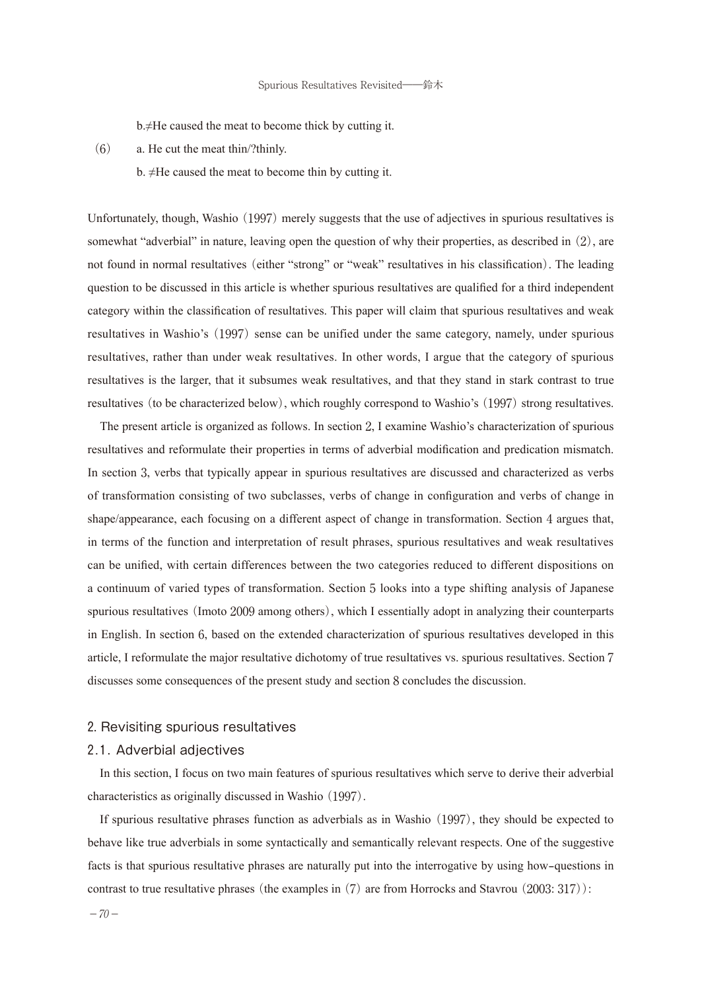b.≠He caused the meat to become thick by cutting it.

(6) a. He cut the meat thin/?thinly.

b. ≠He caused the meat to become thin by cutting it.

Unfortunately, though, Washio (1997) merely suggests that the use of adjectives in spurious resultatives is somewhat "adverbial" in nature, leaving open the question of why their properties, as described in (2), are not found in normal resultatives (either "strong" or "weak" resultatives in his classification). The leading question to be discussed in this article is whether spurious resultatives are qualified for a third independent category within the classification of resultatives. This paper will claim that spurious resultatives and weak resultatives in Washio's (1997) sense can be unified under the same category, namely, under spurious resultatives, rather than under weak resultatives. In other words, I argue that the category of spurious resultatives is the larger, that it subsumes weak resultatives, and that they stand in stark contrast to true resultatives (to be characterized below), which roughly correspond to Washio's (1997) strong resultatives.

The present article is organized as follows. In section 2, I examine Washio's characterization of spurious resultatives and reformulate their properties in terms of adverbial modification and predication mismatch. In section 3, verbs that typically appear in spurious resultatives are discussed and characterized as verbs of transformation consisting of two subclasses, verbs of change in configuration and verbs of change in shape/appearance, each focusing on a different aspect of change in transformation. Section 4 argues that, in terms of the function and interpretation of result phrases, spurious resultatives and weak resultatives can be unified, with certain differences between the two categories reduced to different dispositions on a continuum of varied types of transformation. Section 5 looks into a type shifting analysis of Japanese spurious resultatives (Imoto 2009 among others), which I essentially adopt in analyzing their counterparts in English. In section 6, based on the extended characterization of spurious resultatives developed in this article, I reformulate the major resultative dichotomy of true resultatives vs. spurious resultatives. Section 7 discusses some consequences of the present study and section 8 concludes the discussion.

## 2. Revisiting spurious resultatives

#### 2.1. Adverbial adjectives

In this section, I focus on two main features of spurious resultatives which serve to derive their adverbial characteristics as originally discussed in Washio (1997).

If spurious resultative phrases function as adverbials as in Washio (1997), they should be expected to behave like true adverbials in some syntactically and semantically relevant respects. One of the suggestive facts is that spurious resultative phrases are naturally put into the interrogative by using how-questions in contrast to true resultative phrases (the examples in (7) are from Horrocks and Stavrou (2003: 317)):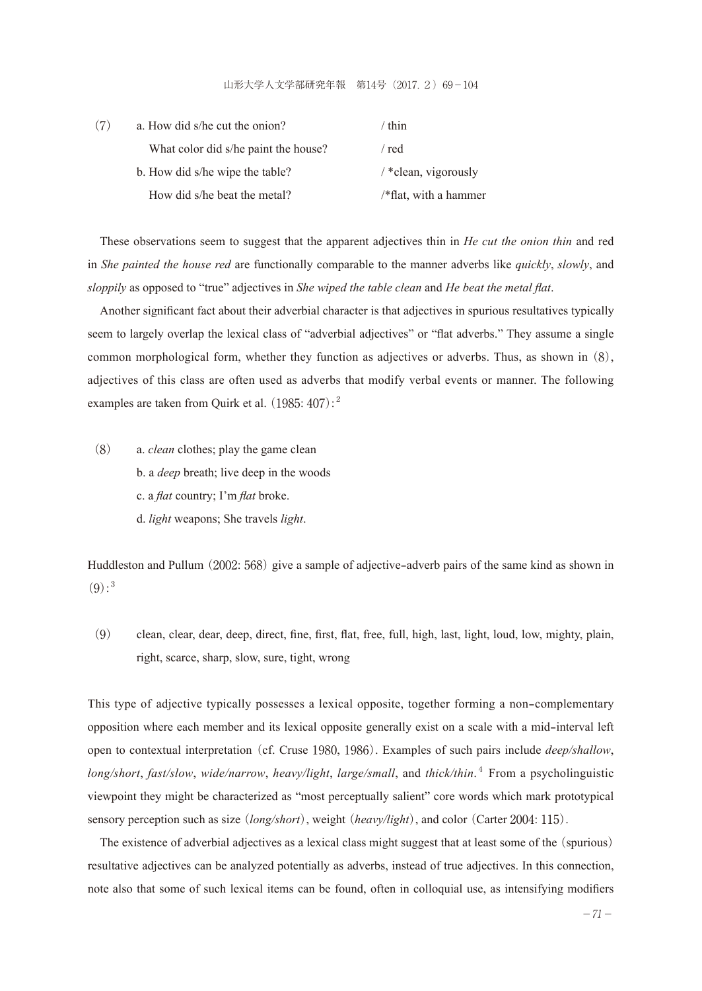#### 山形大学人文学部研究年報 第14号(2017.2)69-104

| (7)                             | a. How did s/he cut the onion?       | ' thin                   |
|---------------------------------|--------------------------------------|--------------------------|
|                                 | What color did s/he paint the house? | / red                    |
| b. How did s/he wipe the table? |                                      | $/$ *clean, vigorously   |
|                                 | How did s/he beat the metal?         | $/*flat$ , with a hammer |

These observations seem to suggest that the apparent adjectives thin in *He cut the onion thin* and red in *She painted the house red* are functionally comparable to the manner adverbs like *quickly*, *slowly*, and *sloppily* as opposed to "true" adjectives in *She wiped the table clean* and *He beat the metal flat*.

Another significant fact about their adverbial character is that adjectives in spurious resultatives typically seem to largely overlap the lexical class of "adverbial adjectives" or "flat adverbs." They assume a single common morphological form, whether they function as adjectives or adverbs. Thus, as shown in (8), adjectives of this class are often used as adverbs that modify verbal events or manner. The following examples are taken from Quirk et al.  $(1985: 407)$ :<sup>2</sup>

(8) a. *clean* clothes; play the game clean b. a *deep* breath; live deep in the woods c. a *flat* country; I'm *flat* broke. d. *light* weapons; She travels *light*.

Huddleston and Pullum (2002: 568) give a sample of adjective-adverb pairs of the same kind as shown in  $(9)$ :<sup>3</sup>

(9) clean, clear, dear, deep, direct, fine, first, flat, free, full, high, last, light, loud, low, mighty, plain, right, scarce, sharp, slow, sure, tight, wrong

This type of adjective typically possesses a lexical opposite, together forming a non-complementary opposition where each member and its lexical opposite generally exist on a scale with a mid-interval left open to contextual interpretation (cf. Cruse 1980, 1986). Examples of such pairs include *deep/shallow*, *long/short*, *fast/slow*, *wide/narrow*, *heavy/light*, *large/small*, and *thick/thin*. <sup>4</sup> From a psycholinguistic viewpoint they might be characterized as "most perceptually salient" core words which mark prototypical sensory perception such as size (*long/short*), weight (*heavy/light*), and color (Carter 2004: 115).

The existence of adverbial adjectives as a lexical class might suggest that at least some of the (spurious) resultative adjectives can be analyzed potentially as adverbs, instead of true adjectives. In this connection, note also that some of such lexical items can be found, often in colloquial use, as intensifying modifiers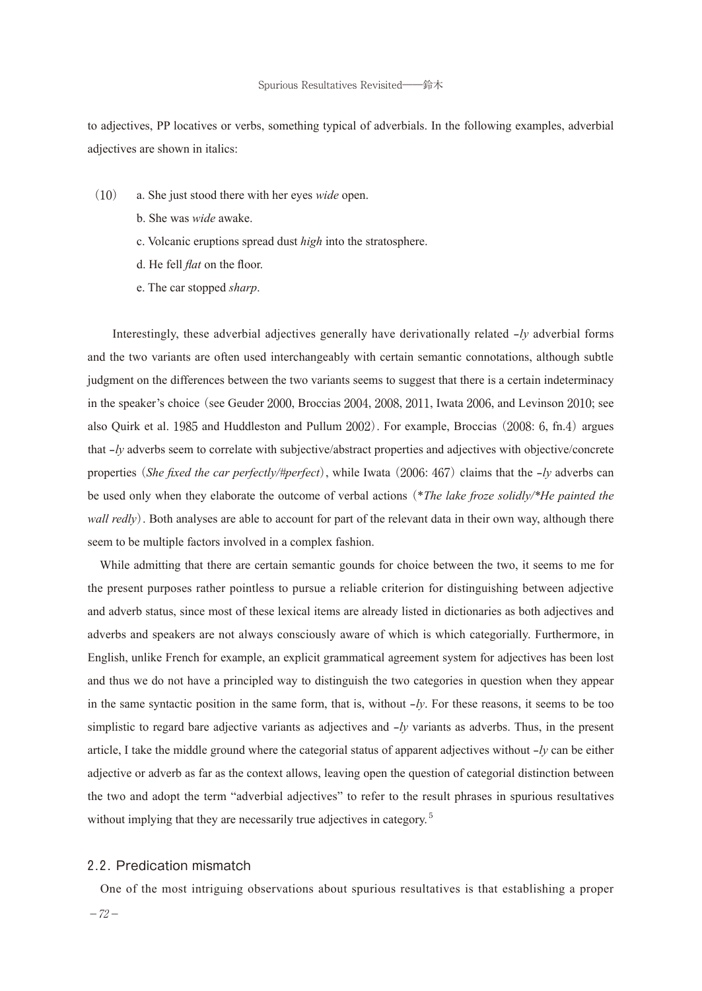to adjectives, PP locatives or verbs, something typical of adverbials. In the following examples, adverbial adjectives are shown in italics:

- (10) a. She just stood there with her eyes *wide* open.
	- b. She was *wide* awake.
	- c. Volcanic eruptions spread dust *high* into the stratosphere.
	- d. He fell *flat* on the floor.
	- e. The car stopped *sharp*.

 Interestingly, these adverbial adjectives generally have derivationally related -*ly* adverbial forms and the two variants are often used interchangeably with certain semantic connotations, although subtle judgment on the differences between the two variants seems to suggest that there is a certain indeterminacy in the speaker's choice (see Geuder 2000, Broccias 2004, 2008, 2011, Iwata 2006, and Levinson 2010; see also Quirk et al. 1985 and Huddleston and Pullum 2002). For example, Broccias (2008: 6, fn.4) argues that  $-ly$  adverbs seem to correlate with subjective/abstract properties and adjectives with objective/concrete properties (*She fixed the car perfectly/#perfect*), while Iwata (2006: 467) claims that the -*ly* adverbs can be used only when they elaborate the outcome of verbal actions (\**The lake froze solidly/\*He painted the wall redly*). Both analyses are able to account for part of the relevant data in their own way, although there seem to be multiple factors involved in a complex fashion.

While admitting that there are certain semantic gounds for choice between the two, it seems to me for the present purposes rather pointless to pursue a reliable criterion for distinguishing between adjective and adverb status, since most of these lexical items are already listed in dictionaries as both adjectives and adverbs and speakers are not always consciously aware of which is which categorially. Furthermore, in English, unlike French for example, an explicit grammatical agreement system for adjectives has been lost and thus we do not have a principled way to distinguish the two categories in question when they appear in the same syntactic position in the same form, that is, without -*ly*. For these reasons, it seems to be too simplistic to regard bare adjective variants as adjectives and -*ly* variants as adverbs. Thus, in the present article, I take the middle ground where the categorial status of apparent adjectives without -*ly* can be either adjective or adverb as far as the context allows, leaving open the question of categorial distinction between the two and adopt the term "adverbial adjectives" to refer to the result phrases in spurious resultatives without implying that they are necessarily true adjectives in category.<sup>5</sup>

#### 2.2. Predication mismatch

One of the most intriguing observations about spurious resultatives is that establishing a proper

 $-72-$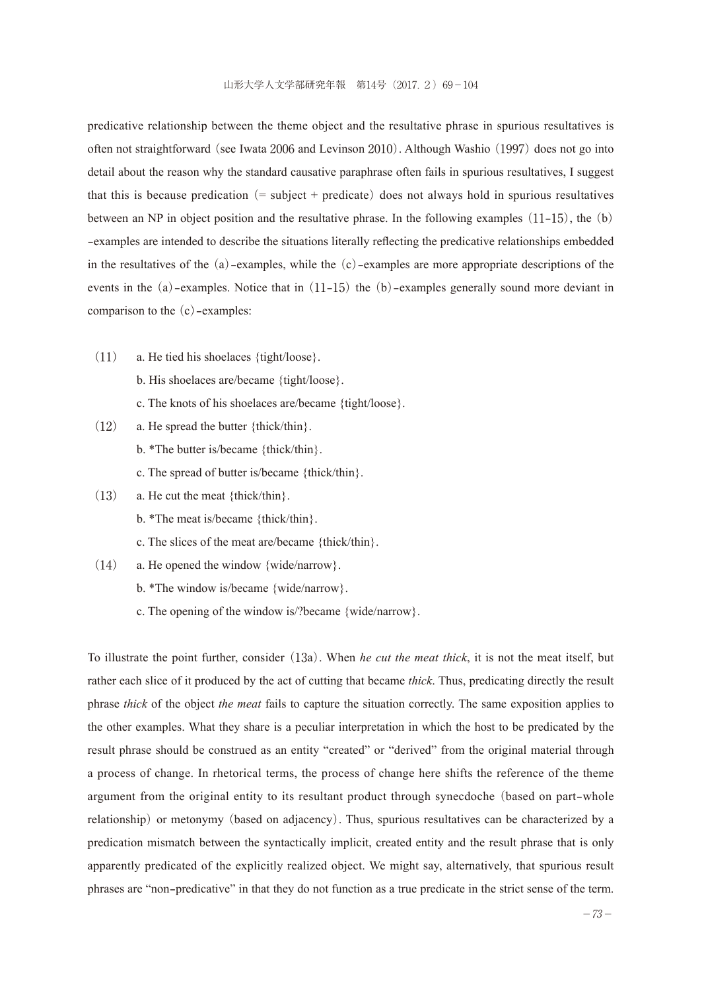predicative relationship between the theme object and the resultative phrase in spurious resultatives is often not straightforward (see Iwata 2006 and Levinson 2010). Although Washio (1997) does not go into detail about the reason why the standard causative paraphrase often fails in spurious resultatives, I suggest that this is because predication  $(=$  subject + predicate) does not always hold in spurious resultatives between an NP in object position and the resultative phrase. In the following examples  $(11-15)$ , the  $(b)$ -examples are intended to describe the situations literally reflecting the predicative relationships embedded in the resultatives of the (a)-examples, while the (c)-examples are more appropriate descriptions of the events in the (a)-examples. Notice that in (11-15) the (b)-examples generally sound more deviant in comparison to the (c)-examples:

- (11) a. He tied his shoelaces {tight/loose}.
	- b. His shoelaces are/became {tight/loose}.
	- c. The knots of his shoelaces are/became {tight/loose}.
- $(12)$  a. He spread the butter {thick/thin}.
	- b. \*The butter is/became {thick/thin}.
	- c. The spread of butter is/became {thick/thin}.
- (13) a. He cut the meat {thick/thin}.
	- b. \*The meat is/became {thick/thin}.
	- c. The slices of the meat are/became {thick/thin}.
- (14) a. He opened the window {wide/narrow}.
	- b. \*The window is/became {wide/narrow}.
	- c. The opening of the window is/?became {wide/narrow}.

To illustrate the point further, consider (13a). When *he cut the meat thick*, it is not the meat itself, but rather each slice of it produced by the act of cutting that became *thick*. Thus, predicating directly the result phrase *thick* of the object *the meat* fails to capture the situation correctly. The same exposition applies to the other examples. What they share is a peculiar interpretation in which the host to be predicated by the result phrase should be construed as an entity "created" or "derived" from the original material through a process of change. In rhetorical terms, the process of change here shifts the reference of the theme argument from the original entity to its resultant product through synecdoche (based on part-whole relationship) or metonymy (based on adjacency). Thus, spurious resultatives can be characterized by a predication mismatch between the syntactically implicit, created entity and the result phrase that is only apparently predicated of the explicitly realized object. We might say, alternatively, that spurious result phrases are "non-predicative" in that they do not function as a true predicate in the strict sense of the term.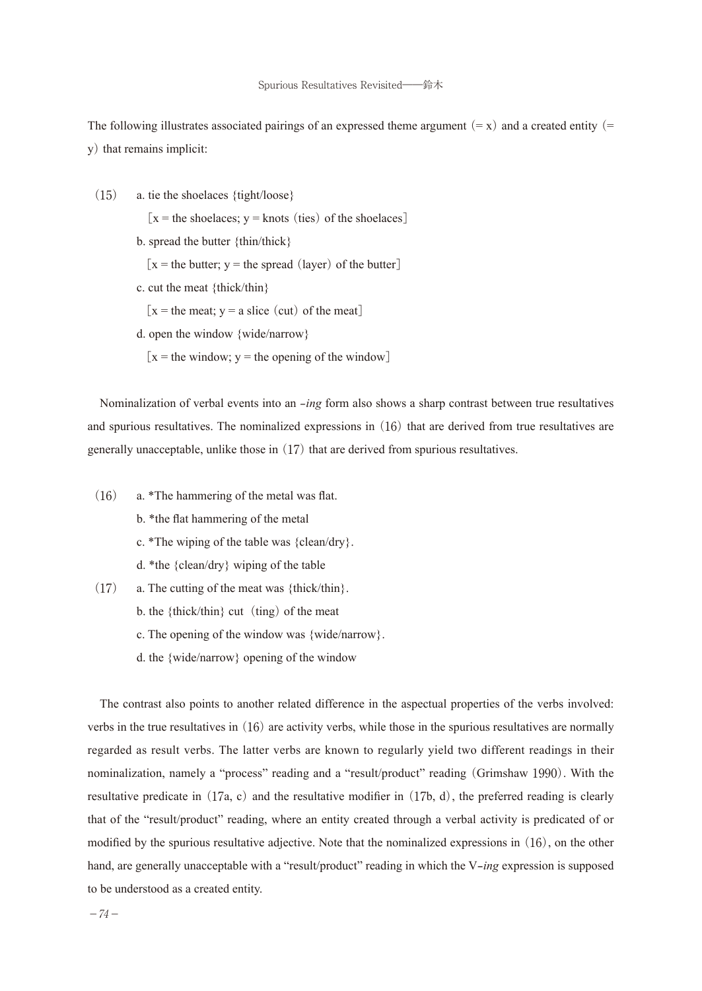The following illustrates associated pairings of an expressed theme argument  $(=\mathbf{x})$  and a created entity  $(=\mathbf{x})$ y) that remains implicit:

(15) a. tie the shoelaces {tight/loose}

[ $x =$  the shoelaces;  $y =$  knots (ties) of the shoelaces]

b. spread the butter {thin/thick}

 $x =$  the butter;  $y =$  the spread (layer) of the butter

c. cut the meat {thick/thin}

 $[x =$  the meat;  $y =$  a slice (cut) of the meat]

d. open the window {wide/narrow}

 $x =$  the window; y = the opening of the window]

Nominalization of verbal events into an *-ing* form also shows a sharp contrast between true resultatives and spurious resultatives. The nominalized expressions in (16) that are derived from true resultatives are generally unacceptable, unlike those in (17) that are derived from spurious resultatives.

- (16) a. \*The hammering of the metal was flat.
	- b. \*the flat hammering of the metal
	- c. \*The wiping of the table was {clean/dry}.
	- d. \*the {clean/dry} wiping of the table
- $(17)$  a. The cutting of the meat was {thick/thin}.
	- b. the  ${thick/thin}$  cut (ting) of the meat
	- c. The opening of the window was {wide/narrow}.
	- d. the {wide/narrow} opening of the window

The contrast also points to another related difference in the aspectual properties of the verbs involved: verbs in the true resultatives in (16) are activity verbs, while those in the spurious resultatives are normally regarded as result verbs. The latter verbs are known to regularly yield two different readings in their nominalization, namely a "process" reading and a "result/product" reading (Grimshaw 1990). With the resultative predicate in  $(17a, c)$  and the resultative modifier in  $(17b, d)$ , the preferred reading is clearly that of the "result/product" reading, where an entity created through a verbal activity is predicated of or modified by the spurious resultative adjective. Note that the nominalized expressions in  $(16)$ , on the other hand, are generally unacceptable with a "result/product" reading in which the V-*ing* expression is supposed to be understood as a created entity.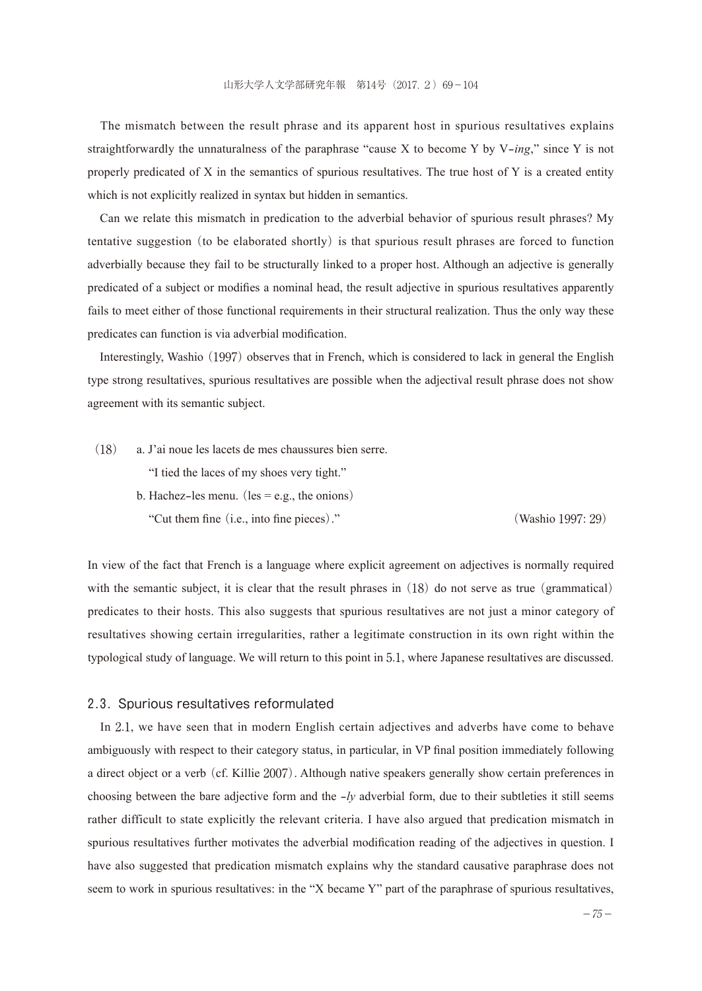The mismatch between the result phrase and its apparent host in spurious resultatives explains straightforwardly the unnaturalness of the paraphrase "cause X to become Y by V-*ing*," since Y is not properly predicated of X in the semantics of spurious resultatives. The true host of Y is a created entity which is not explicitly realized in syntax but hidden in semantics.

Can we relate this mismatch in predication to the adverbial behavior of spurious result phrases? My tentative suggestion (to be elaborated shortly) is that spurious result phrases are forced to function adverbially because they fail to be structurally linked to a proper host. Although an adjective is generally predicated of a subject or modifies a nominal head, the result adjective in spurious resultatives apparently fails to meet either of those functional requirements in their structural realization. Thus the only way these predicates can function is via adverbial modification.

Interestingly, Washio (1997) observes that in French, which is considered to lack in general the English type strong resultatives, spurious resultatives are possible when the adjectival result phrase does not show agreement with its semantic subject.

(18) a. J'ai noue les lacets de mes chaussures bien serre.

"I tied the laces of my shoes very tight."

b. Hachez-les menu. (les  $=$  e.g., the onions) "Cut them fine (i.e., into fine pieces)." (Washio 1997: 29)

In view of the fact that French is a language where explicit agreement on adjectives is normally required with the semantic subject, it is clear that the result phrases in  $(18)$  do not serve as true (grammatical) predicates to their hosts. This also suggests that spurious resultatives are not just a minor category of resultatives showing certain irregularities, rather a legitimate construction in its own right within the typological study of language. We will return to this point in 5.1, where Japanese resultatives are discussed.

#### 2.3. Spurious resultatives reformulated

In 2.1, we have seen that in modern English certain adjectives and adverbs have come to behave ambiguously with respect to their category status, in particular, in VP final position immediately following a direct object or a verb (cf. Killie 2007). Although native speakers generally show certain preferences in choosing between the bare adjective form and the -*ly* adverbial form, due to their subtleties it still seems rather difficult to state explicitly the relevant criteria. I have also argued that predication mismatch in spurious resultatives further motivates the adverbial modification reading of the adjectives in question. I have also suggested that predication mismatch explains why the standard causative paraphrase does not seem to work in spurious resultatives: in the "X became Y" part of the paraphrase of spurious resultatives,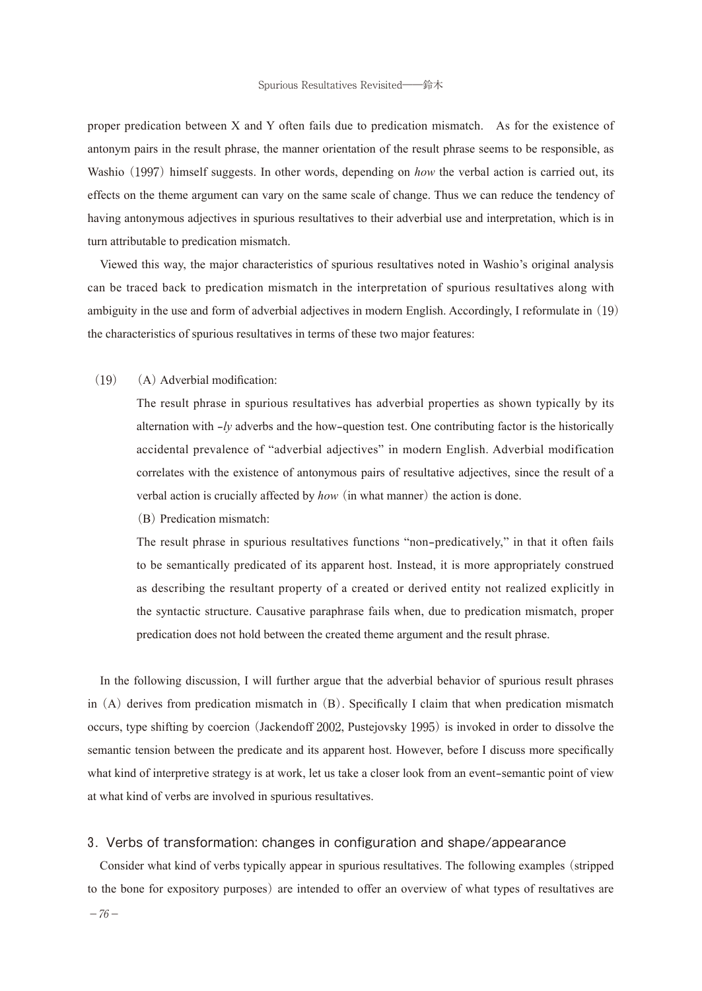proper predication between X and Y often fails due to predication mismatch. As for the existence of antonym pairs in the result phrase, the manner orientation of the result phrase seems to be responsible, as Washio (1997) himself suggests. In other words, depending on *how* the verbal action is carried out, its effects on the theme argument can vary on the same scale of change. Thus we can reduce the tendency of having antonymous adjectives in spurious resultatives to their adverbial use and interpretation, which is in turn attributable to predication mismatch.

Viewed this way, the major characteristics of spurious resultatives noted in Washio's original analysis can be traced back to predication mismatch in the interpretation of spurious resultatives along with ambiguity in the use and form of adverbial adjectives in modern English. Accordingly, I reformulate in (19) the characteristics of spurious resultatives in terms of these two major features:

## $(19)$  (A) Adverbial modification:

 The result phrase in spurious resultatives has adverbial properties as shown typically by its alternation with -*ly* adverbs and the how-question test. One contributing factor is the historically accidental prevalence of "adverbial adjectives" in modern English. Adverbial modification correlates with the existence of antonymous pairs of resultative adjectives, since the result of a verbal action is crucially affected by *how*(in what manner) the action is done.

(B) Predication mismatch:

 The result phrase in spurious resultatives functions "non-predicatively," in that it often fails to be semantically predicated of its apparent host. Instead, it is more appropriately construed as describing the resultant property of a created or derived entity not realized explicitly in the syntactic structure. Causative paraphrase fails when, due to predication mismatch, proper predication does not hold between the created theme argument and the result phrase.

In the following discussion, I will further argue that the adverbial behavior of spurious result phrases in (A) derives from predication mismatch in (B). Specifically I claim that when predication mismatch occurs, type shifting by coercion (Jackendoff 2002, Pustejovsky 1995) is invoked in order to dissolve the semantic tension between the predicate and its apparent host. However, before I discuss more specifically what kind of interpretive strategy is at work, let us take a closer look from an event-semantic point of view at what kind of verbs are involved in spurious resultatives.

#### 3. Verbs of transformation: changes in configuration and shape/appearance

Consider what kind of verbs typically appear in spurious resultatives. The following examples (stripped to the bone for expository purposes) are intended to offer an overview of what types of resultatives are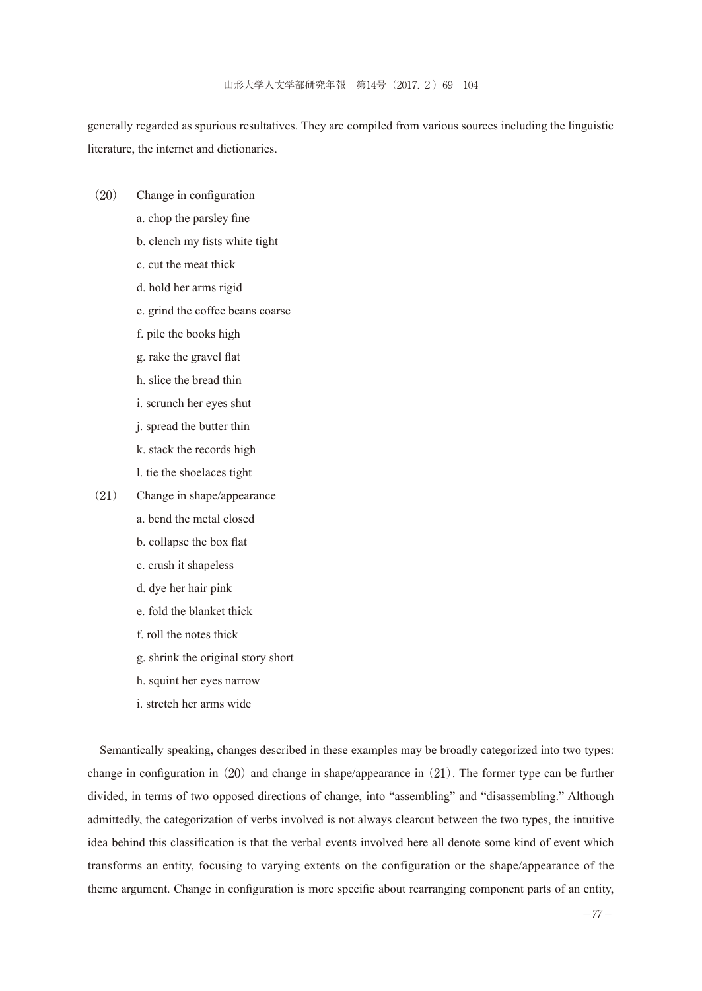generally regarded as spurious resultatives. They are compiled from various sources including the linguistic literature, the internet and dictionaries.

- (20) Change in configuration
	- a. chop the parsley fine
	- b. clench my fists white tight
	- c. cut the meat thick
	- d. hold her arms rigid
	- e. grind the coffee beans coarse
	- f. pile the books high
	- g. rake the gravel flat
	- h. slice the bread thin
	- i. scrunch her eyes shut
	- j. spread the butter thin
	- k. stack the records high
	- l. tie the shoelaces tight
- (21) Change in shape/appearance
	- a. bend the metal closed
	- b. collapse the box flat
	- c. crush it shapeless
	- d. dye her hair pink
	- e. fold the blanket thick
	- f. roll the notes thick
	- g. shrink the original story short
	- h. squint her eyes narrow
	- i. stretch her arms wide

Semantically speaking, changes described in these examples may be broadly categorized into two types: change in configuration in  $(20)$  and change in shape/appearance in  $(21)$ . The former type can be further divided, in terms of two opposed directions of change, into "assembling" and "disassembling." Although admittedly, the categorization of verbs involved is not always clearcut between the two types, the intuitive idea behind this classification is that the verbal events involved here all denote some kind of event which transforms an entity, focusing to varying extents on the configuration or the shape/appearance of the theme argument. Change in configuration is more specific about rearranging component parts of an entity,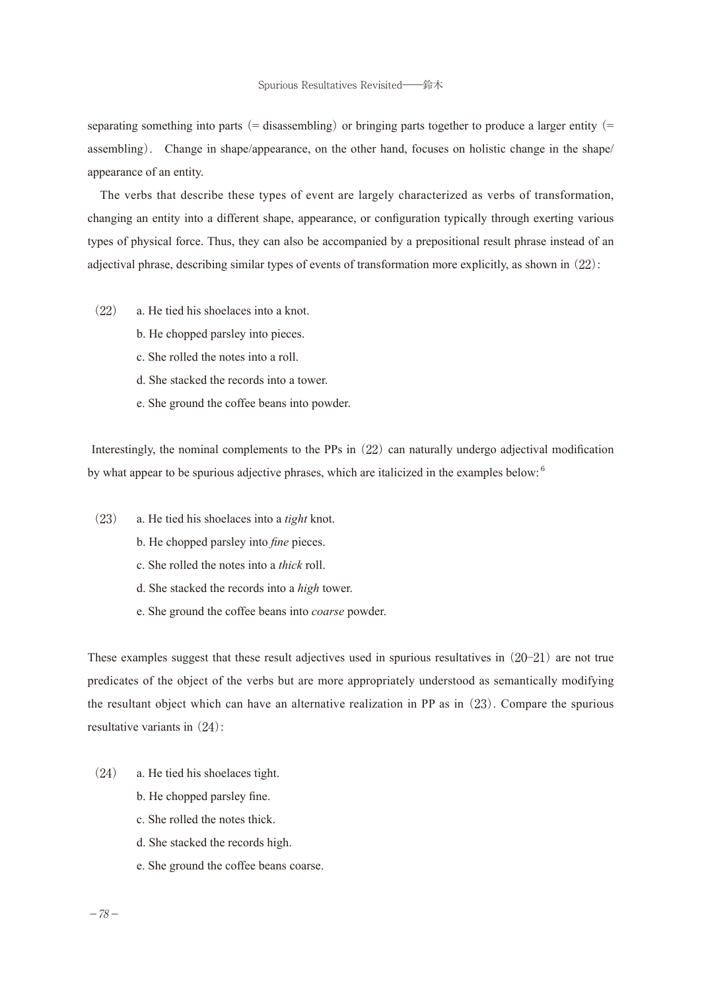separating something into parts (= disassembling) or bringing parts together to produce a larger entity (= assembling). Change in shape/appearance, on the other hand, focuses on holistic change in the shape/ appearance of an entity.

The verbs that describe these types of event are largely characterized as verbs of transformation, changing an entity into a different shape, appearance, or configuration typically through exerting various types of physical force. Thus, they can also be accompanied by a prepositional result phrase instead of an adjectival phrase, describing similar types of events of transformation more explicitly, as shown in  $(22)$ :

- (22) a. He tied his shoelaces into a knot.
	- b. He chopped parsley into pieces.
	- c. She rolled the notes into a roll.
	- d. She stacked the records into a tower.
	- e. She ground the coffee beans into powder.

Interestingly, the nominal complements to the PPs in  $(22)$  can naturally undergo adjectival modification by what appear to be spurious adjective phrases, which are italicized in the examples below:<sup>6</sup>

- (23) a. He tied his shoelaces into a *tight* knot.
	- b. He chopped parsley into *fine* pieces.
	- c. She rolled the notes into a *thick* roll.
	- d. She stacked the records into a *high* tower.
	- e. She ground the coffee beans into *coarse* powder.

These examples suggest that these result adjectives used in spurious resultatives in (20─21) are not true predicates of the object of the verbs but are more appropriately understood as semantically modifying the resultant object which can have an alternative realization in PP as in (23). Compare the spurious resultative variants in (24):

- (24) a. He tied his shoelaces tight.
	- b. He chopped parsley fine.
	- c. She rolled the notes thick.
	- d. She stacked the records high.
	- e. She ground the coffee beans coarse.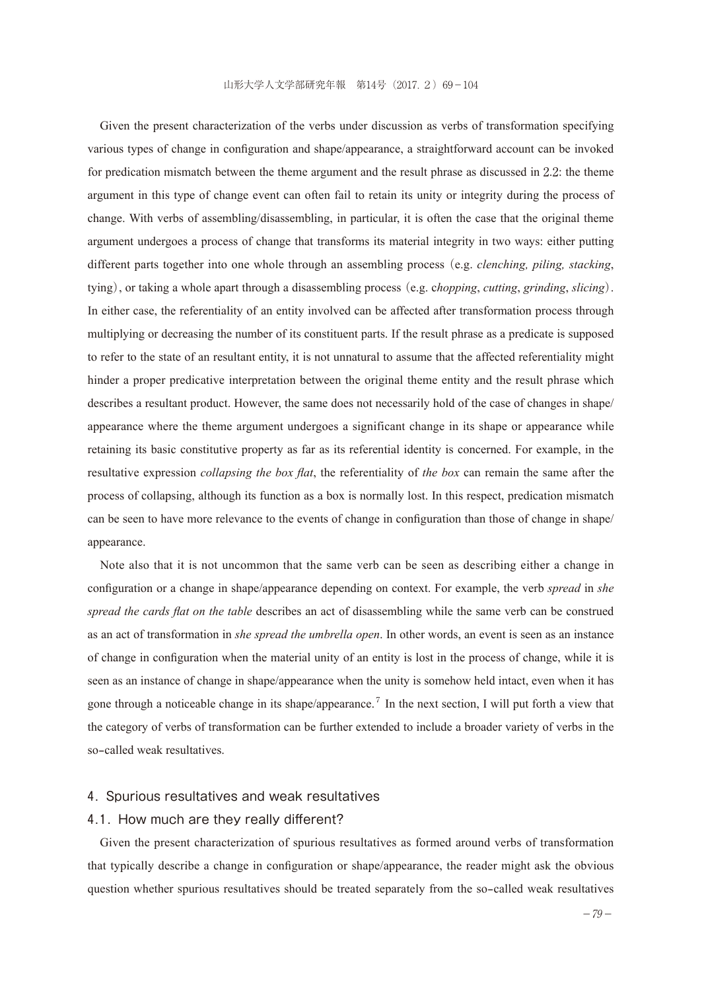Given the present characterization of the verbs under discussion as verbs of transformation specifying various types of change in configuration and shape/appearance, a straightforward account can be invoked for predication mismatch between the theme argument and the result phrase as discussed in 2.2: the theme argument in this type of change event can often fail to retain its unity or integrity during the process of change. With verbs of assembling/disassembling, in particular, it is often the case that the original theme argument undergoes a process of change that transforms its material integrity in two ways: either putting different parts together into one whole through an assembling process (e.g. *clenching, piling, stacking*, tying), or taking a whole apart through a disassembling process (e.g. c*hopping*, *cutting*, *grinding*, *slicing*). In either case, the referentiality of an entity involved can be affected after transformation process through multiplying or decreasing the number of its constituent parts. If the result phrase as a predicate is supposed to refer to the state of an resultant entity, it is not unnatural to assume that the affected referentiality might hinder a proper predicative interpretation between the original theme entity and the result phrase which describes a resultant product. However, the same does not necessarily hold of the case of changes in shape/ appearance where the theme argument undergoes a significant change in its shape or appearance while retaining its basic constitutive property as far as its referential identity is concerned. For example, in the resultative expression *collapsing the box flat*, the referentiality of *the box* can remain the same after the process of collapsing, although its function as a box is normally lost. In this respect, predication mismatch can be seen to have more relevance to the events of change in configuration than those of change in shape/ appearance.

Note also that it is not uncommon that the same verb can be seen as describing either a change in configuration or a change in shape/appearance depending on context. For example, the verb *spread* in *she spread the cards flat on the table* describes an act of disassembling while the same verb can be construed as an act of transformation in *she spread the umbrella open*. In other words, an event is seen as an instance of change in configuration when the material unity of an entity is lost in the process of change, while it is seen as an instance of change in shape/appearance when the unity is somehow held intact, even when it has gone through a noticeable change in its shape/appearance.<sup>7</sup> In the next section, I will put forth a view that the category of verbs of transformation can be further extended to include a broader variety of verbs in the so-called weak resultatives.

## 4. Spurious resultatives and weak resultatives

#### 4.1. How much are they really different?

Given the present characterization of spurious resultatives as formed around verbs of transformation that typically describe a change in configuration or shape/appearance, the reader might ask the obvious question whether spurious resultatives should be treated separately from the so-called weak resultatives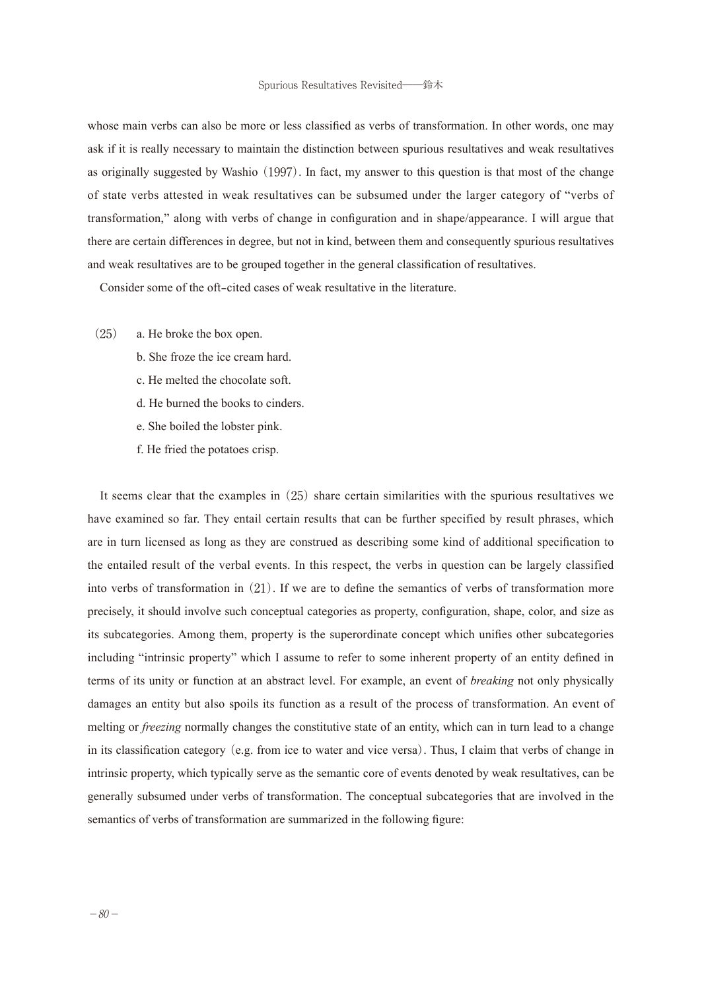whose main verbs can also be more or less classified as verbs of transformation. In other words, one may ask if it is really necessary to maintain the distinction between spurious resultatives and weak resultatives as originally suggested by Washio (1997). In fact, my answer to this question is that most of the change of state verbs attested in weak resultatives can be subsumed under the larger category of "verbs of transformation," along with verbs of change in configuration and in shape/appearance. I will argue that there are certain differences in degree, but not in kind, between them and consequently spurious resultatives and weak resultatives are to be grouped together in the general classification of resultatives.

Consider some of the oft-cited cases of weak resultative in the literature.

- (25) a. He broke the box open.
	- b. She froze the ice cream hard.
	- c. He melted the chocolate soft.
	- d. He burned the books to cinders.
	- e. She boiled the lobster pink.
	- f. He fried the potatoes crisp.

It seems clear that the examples in (25) share certain similarities with the spurious resultatives we have examined so far. They entail certain results that can be further specified by result phrases, which are in turn licensed as long as they are construed as describing some kind of additional specification to the entailed result of the verbal events. In this respect, the verbs in question can be largely classified into verbs of transformation in (21). If we are to define the semantics of verbs of transformation more precisely, it should involve such conceptual categories as property, configuration, shape, color, and size as its subcategories. Among them, property is the superordinate concept which unifies other subcategories including "intrinsic property" which I assume to refer to some inherent property of an entity defined in terms of its unity or function at an abstract level. For example, an event of *breaking* not only physically damages an entity but also spoils its function as a result of the process of transformation. An event of melting or *freezing* normally changes the constitutive state of an entity, which can in turn lead to a change in its classification category(e.g. from ice to water and vice versa). Thus, I claim that verbs of change in intrinsic property, which typically serve as the semantic core of events denoted by weak resultatives, can be generally subsumed under verbs of transformation. The conceptual subcategories that are involved in the semantics of verbs of transformation are summarized in the following figure: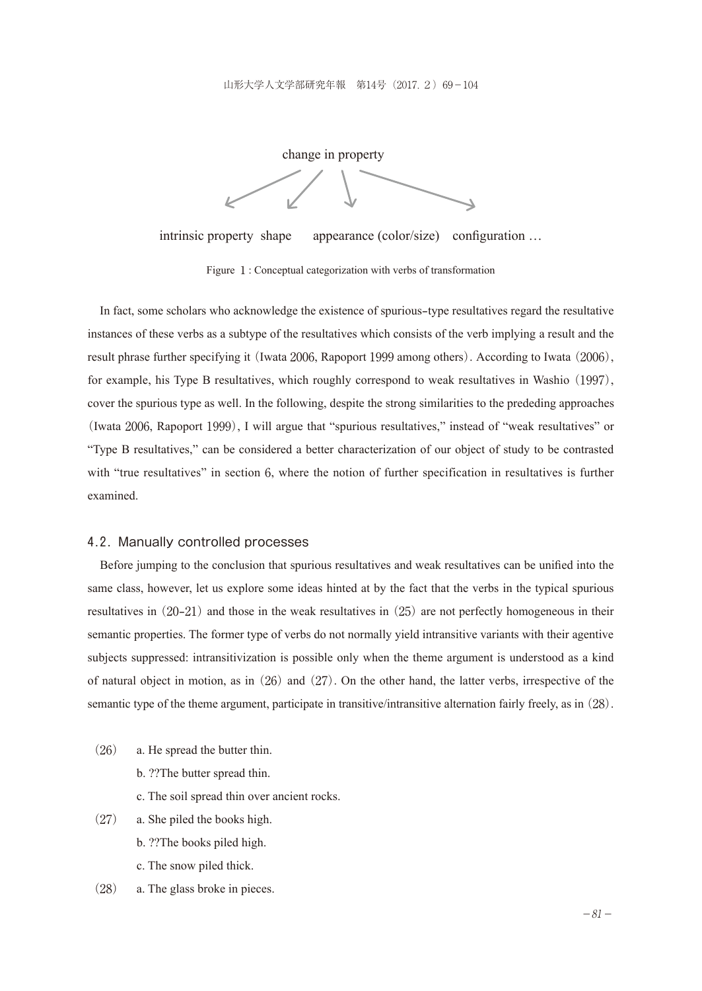change in property

intrinsic property shape appearance (color/size) configuration ...

Figure 1: Conceptual categorization with verbs of transformation

In fact, some scholars who acknowledge the existence of spurious-type resultatives regard the resultative instances of these verbs as a subtype of the resultatives which consists of the verb implying a result and the result phrase further specifying it (Iwata 2006, Rapoport 1999 among others). According to Iwata (2006), for example, his Type B resultatives, which roughly correspond to weak resultatives in Washio (1997), cover the spurious type as well. In the following, despite the strong similarities to the prededing approaches (Iwata 2006, Rapoport 1999), I will argue that "spurious resultatives," instead of "weak resultatives" or "Type B resultatives," can be considered a better characterization of our object of study to be contrasted with "true resultatives" in section 6, where the notion of further specification in resultatives is further examined.

#### 4.2. Manually controlled processes

Before jumping to the conclusion that spurious resultatives and weak resultatives can be unified into the same class, however, let us explore some ideas hinted at by the fact that the verbs in the typical spurious resultatives in  $(20-21)$  and those in the weak resultatives in  $(25)$  are not perfectly homogeneous in their semantic properties. The former type of verbs do not normally yield intransitive variants with their agentive subjects suppressed: intransitivization is possible only when the theme argument is understood as a kind of natural object in motion, as in  $(26)$  and  $(27)$ . On the other hand, the latter verbs, irrespective of the semantic type of the theme argument, participate in transitive/intransitive alternation fairly freely, as in (28).

- (26) a. He spread the butter thin.
	- b. ??The butter spread thin.
	- c. The soil spread thin over ancient rocks.
- (27) a. She piled the books high.
	- b. ??The books piled high.
	- c. The snow piled thick.
- (28) a. The glass broke in pieces.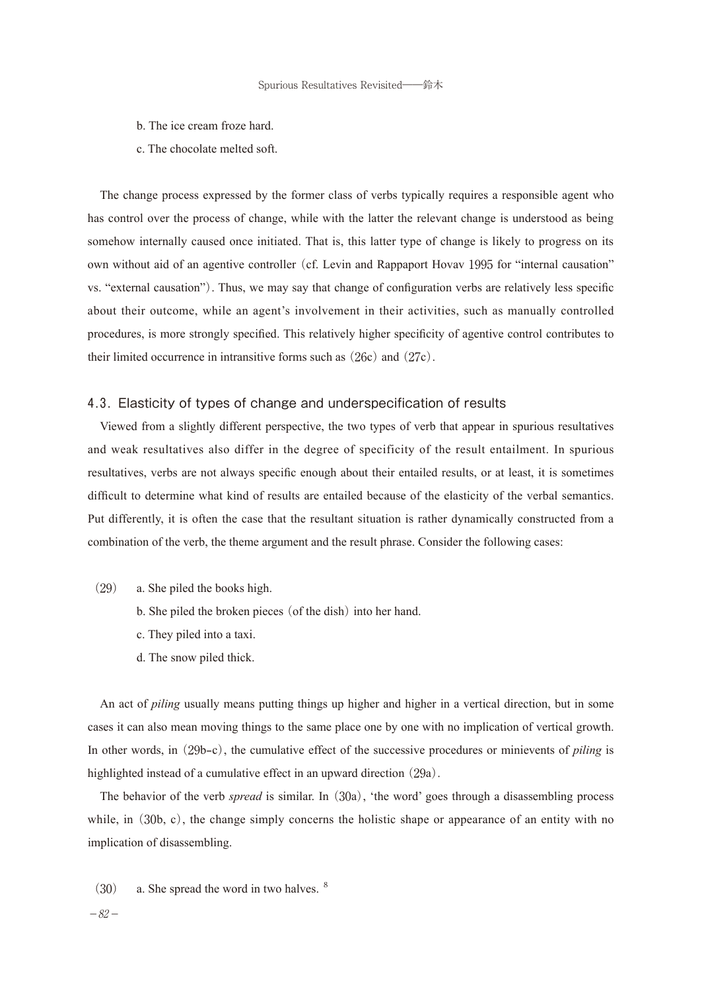- b. The ice cream froze hard.
- c. The chocolate melted soft.

The change process expressed by the former class of verbs typically requires a responsible agent who has control over the process of change, while with the latter the relevant change is understood as being somehow internally caused once initiated. That is, this latter type of change is likely to progress on its own without aid of an agentive controller (cf. Levin and Rappaport Hovav 1995 for "internal causation" vs. "external causation"). Thus, we may say that change of configuration verbs are relatively less specific about their outcome, while an agent's involvement in their activities, such as manually controlled procedures, is more strongly specified. This relatively higher specificity of agentive control contributes to their limited occurrence in intransitive forms such as (26c) and (27c).

#### 4.3. Elasticity of types of change and underspecification of results

Viewed from a slightly different perspective, the two types of verb that appear in spurious resultatives and weak resultatives also differ in the degree of specificity of the result entailment. In spurious resultatives, verbs are not always specific enough about their entailed results, or at least, it is sometimes difficult to determine what kind of results are entailed because of the elasticity of the verbal semantics. Put differently, it is often the case that the resultant situation is rather dynamically constructed from a combination of the verb, the theme argument and the result phrase. Consider the following cases:

- (29) a. She piled the books high.
	- b. She piled the broken pieces (of the dish) into her hand.
	- c. They piled into a taxi.
	- d. The snow piled thick.

An act of *piling* usually means putting things up higher and higher in a vertical direction, but in some cases it can also mean moving things to the same place one by one with no implication of vertical growth. In other words, in (29b-c), the cumulative effect of the successive procedures or minievents of *piling* is highlighted instead of a cumulative effect in an upward direction (29a).

The behavior of the verb *spread* is similar. In (30a), 'the word' goes through a disassembling process while, in (30b, c), the change simply concerns the holistic shape or appearance of an entity with no implication of disassembling.

- $(30)$  a. She spread the word in two halves. <sup>8</sup>
- $-82-$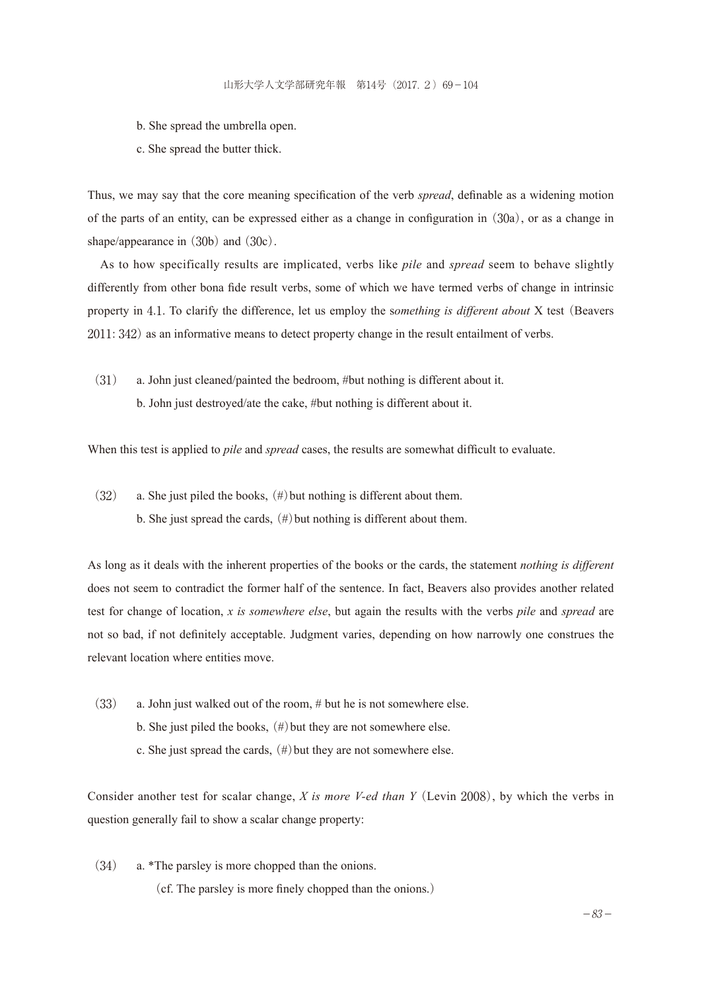- b. She spread the umbrella open.
- c. She spread the butter thick.

Thus, we may say that the core meaning specification of the verb *spread*, definable as a widening motion of the parts of an entity, can be expressed either as a change in configuration in(30a), or as a change in shape/appearance in  $(30b)$  and  $(30c)$ .

As to how specifically results are implicated, verbs like *pile* and *spread* seem to behave slightly differently from other bona fide result verbs, some of which we have termed verbs of change in intrinsic property in 4.1. To clarify the difference, let us employ the s*omething is different about* X test (Beavers 2011: 342) as an informative means to detect property change in the result entailment of verbs.

(31) a. John just cleaned/painted the bedroom, #but nothing is different about it. b. John just destroyed/ate the cake, #but nothing is different about it.

When this test is applied to *pile* and *spread* cases, the results are somewhat difficult to evaluate.

 $(32)$  a. She just piled the books,  $(\#)$  but nothing is different about them. b. She just spread the cards,  $(\#)$  but nothing is different about them.

As long as it deals with the inherent properties of the books or the cards, the statement *nothing is different*  does not seem to contradict the former half of the sentence. In fact, Beavers also provides another related test for change of location, *x is somewhere else*, but again the results with the verbs *pile* and *spread* are not so bad, if not definitely acceptable. Judgment varies, depending on how narrowly one construes the relevant location where entities move.

(33) a. John just walked out of the room, # but he is not somewhere else. b. She just piled the books,  $(\#)$  but they are not somewhere else. c. She just spread the cards,  $(\#)$  but they are not somewhere else.

Consider another test for scalar change, *X is more V-ed than Y*(Levin 2008), by which the verbs in question generally fail to show a scalar change property:

(34) a. \*The parsley is more chopped than the onions.

(cf. The parsley is more finely chopped than the onions.)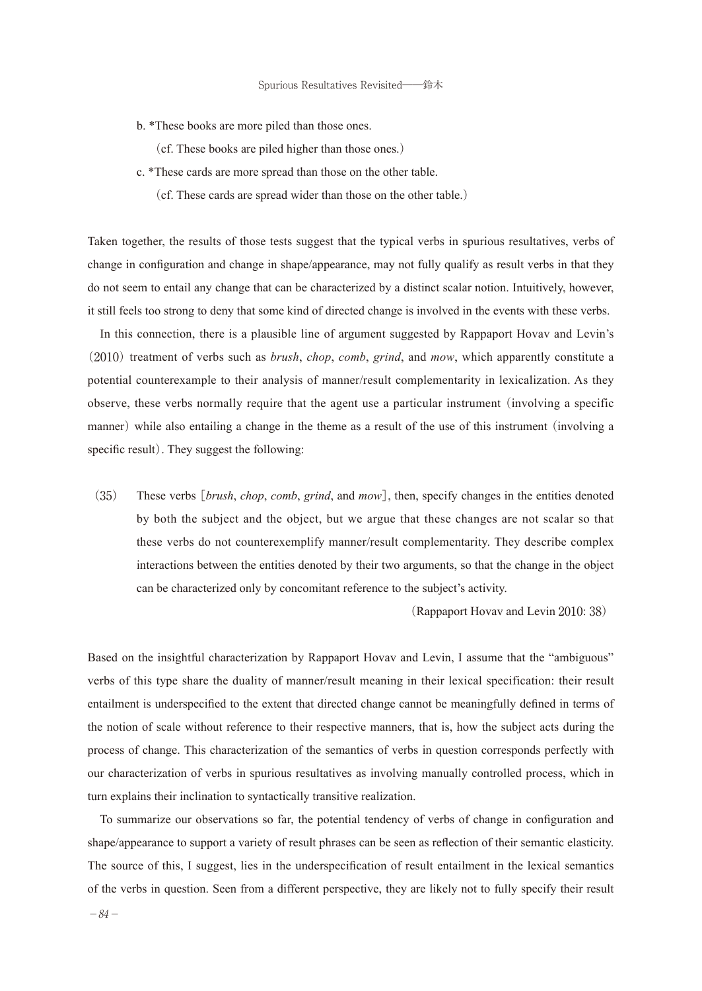b. \*These books are more piled than those ones.

(cf. These books are piled higher than those ones.)

- c. \*These cards are more spread than those on the other table.
	- (cf. These cards are spread wider than those on the other table.)

Taken together, the results of those tests suggest that the typical verbs in spurious resultatives, verbs of change in configuration and change in shape/appearance, may not fully qualify as result verbs in that they do not seem to entail any change that can be characterized by a distinct scalar notion. Intuitively, however, it still feels too strong to deny that some kind of directed change is involved in the events with these verbs.

In this connection, there is a plausible line of argument suggested by Rappaport Hovav and Levin's (2010) treatment of verbs such as *brush*, *chop*, *comb*, *grind*, and *mow*, which apparently constitute a potential counterexample to their analysis of manner/result complementarity in lexicalization. As they observe, these verbs normally require that the agent use a particular instrument (involving a specific manner) while also entailing a change in the theme as a result of the use of this instrument (involving a specific result). They suggest the following:

(35) These verbs [*brush*, *chop*, *comb*, *grind*, and *mow*], then, specify changes in the entities denoted by both the subject and the object, but we argue that these changes are not scalar so that these verbs do not counterexemplify manner/result complementarity. They describe complex interactions between the entities denoted by their two arguments, so that the change in the object can be characterized only by concomitant reference to the subject's activity.

(Rappaport Hovav and Levin 2010: 38)

Based on the insightful characterization by Rappaport Hovav and Levin, I assume that the "ambiguous" verbs of this type share the duality of manner/result meaning in their lexical specification: their result entailment is underspecified to the extent that directed change cannot be meaningfully defined in terms of the notion of scale without reference to their respective manners, that is, how the subject acts during the process of change. This characterization of the semantics of verbs in question corresponds perfectly with our characterization of verbs in spurious resultatives as involving manually controlled process, which in turn explains their inclination to syntactically transitive realization.

To summarize our observations so far, the potential tendency of verbs of change in configuration and shape/appearance to support a variety of result phrases can be seen as reflection of their semantic elasticity. The source of this, I suggest, lies in the underspecification of result entailment in the lexical semantics of the verbs in question. Seen from a different perspective, they are likely not to fully specify their result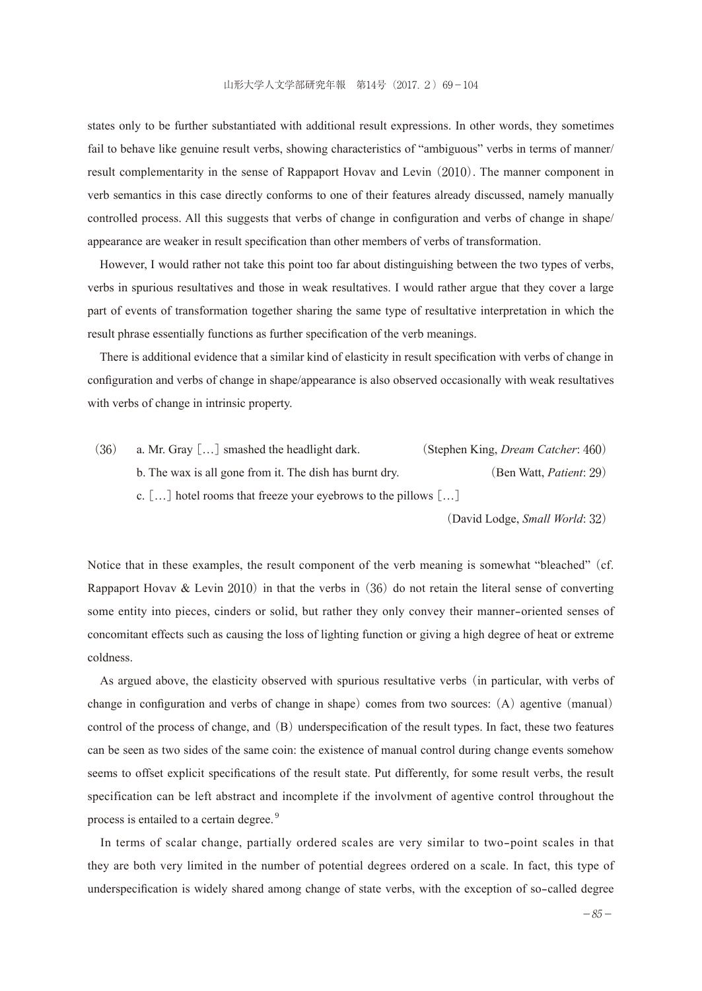states only to be further substantiated with additional result expressions. In other words, they sometimes fail to behave like genuine result verbs, showing characteristics of "ambiguous" verbs in terms of manner/ result complementarity in the sense of Rappaport Hovav and Levin (2010). The manner component in verb semantics in this case directly conforms to one of their features already discussed, namely manually controlled process. All this suggests that verbs of change in configuration and verbs of change in shape/ appearance are weaker in result specification than other members of verbs of transformation.

However, I would rather not take this point too far about distinguishing between the two types of verbs, verbs in spurious resultatives and those in weak resultatives. I would rather argue that they cover a large part of events of transformation together sharing the same type of resultative interpretation in which the result phrase essentially functions as further specification of the verb meanings.

There is additional evidence that a similar kind of elasticity in result specification with verbs of change in configuration and verbs of change in shape/appearance is also observed occasionally with weak resultatives with verbs of change in intrinsic property.

(36) a. Mr. Gray […] smashed the headlight dark. (Stephen King, *Dream Catcher*: 460) b. The wax is all gone from it. The dish has burnt dry. (Ben Watt, *Patient*: 29) c.  $[\,\dots]$  hotel rooms that freeze your eyebrows to the pillows  $[\,\dots]$ 

(David Lodge, *Small World*: 32)

Notice that in these examples, the result component of the verb meaning is somewhat "bleached" (cf. Rappaport Hovav & Levin 2010) in that the verbs in  $(36)$  do not retain the literal sense of converting some entity into pieces, cinders or solid, but rather they only convey their manner-oriented senses of concomitant effects such as causing the loss of lighting function or giving a high degree of heat or extreme coldness.

As argued above, the elasticity observed with spurious resultative verbs (in particular, with verbs of change in configuration and verbs of change in shape) comes from two sources: (A) agentive (manual) control of the process of change, and (B) underspecification of the result types. In fact, these two features can be seen as two sides of the same coin: the existence of manual control during change events somehow seems to offset explicit specifications of the result state. Put differently, for some result verbs, the result specification can be left abstract and incomplete if the involvment of agentive control throughout the process is entailed to a certain degree.<sup>9</sup>

In terms of scalar change, partially ordered scales are very similar to two-point scales in that they are both very limited in the number of potential degrees ordered on a scale. In fact, this type of underspecification is widely shared among change of state verbs, with the exception of so-called degree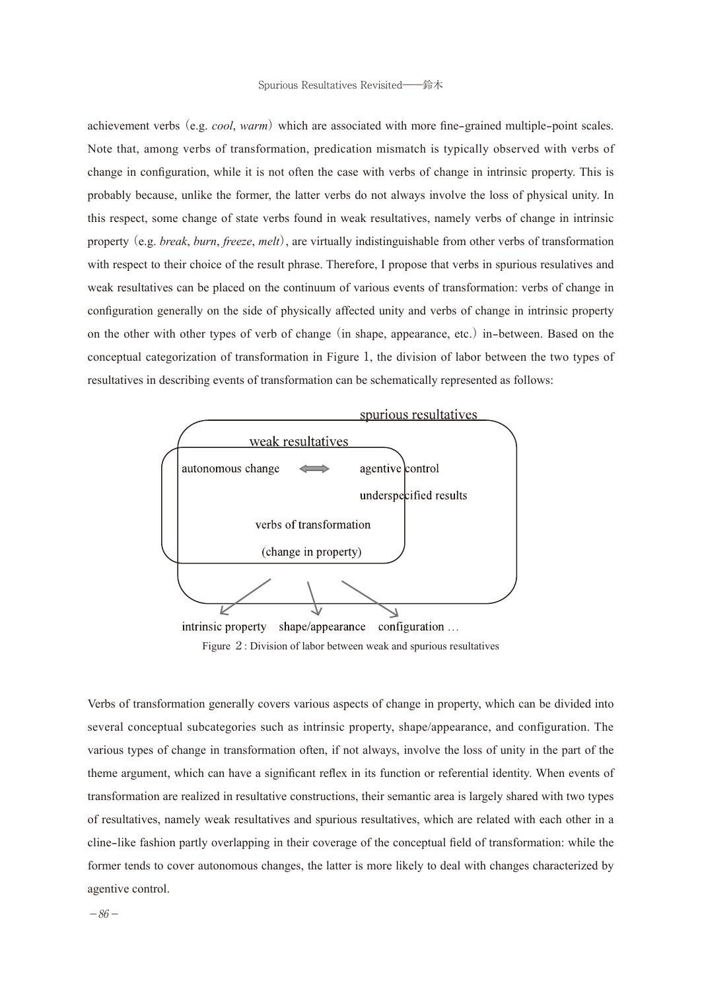achievement verbs (e.g. *cool, warm*) which are associated with more fine-grained multiple-point scales. Note that, among verbs of transformation, predication mismatch is typically observed with verbs of change in configuration, while it is not often the case with verbs of change in intrinsic property. This is probably because, unlike the former, the latter verbs do not always involve the loss of physical unity. In this respect, some change of state verbs found in weak resultatives, namely verbs of change in intrinsic property (e.g. *break*, *burn*, *freeze*, *melt*), are virtually indistinguishable from other verbs of transformation with respect to their choice of the result phrase. Therefore, I propose that verbs in spurious resulatives and weak resultatives can be placed on the continuum of various events of transformation: verbs of change in configuration generally on the side of physically affected unity and verbs of change in intrinsic property on the other with other types of verb of change (in shape, appearance, etc.) in-between. Based on the conceptual categorization of transformation in Figure 1, the division of labor between the two types of resultatives in describing events of transformation can be schematically represented as follows:



Figure 2: Division of labor between weak and spurious resultatives

Verbs of transformation generally covers various aspects of change in property, which can be divided into several conceptual subcategories such as intrinsic property, shape/appearance, and configuration. The various types of change in transformation often, if not always, involve the loss of unity in the part of the theme argument, which can have a significant reflex in its function or referential identity. When events of transformation are realized in resultative constructions, their semantic area is largely shared with two types of resultatives, namely weak resultatives and spurious resultatives, which are related with each other in a cline-like fashion partly overlapping in their coverage of the conceptual field of transformation: while the former tends to cover autonomous changes, the latter is more likely to deal with changes characterized by agentive control.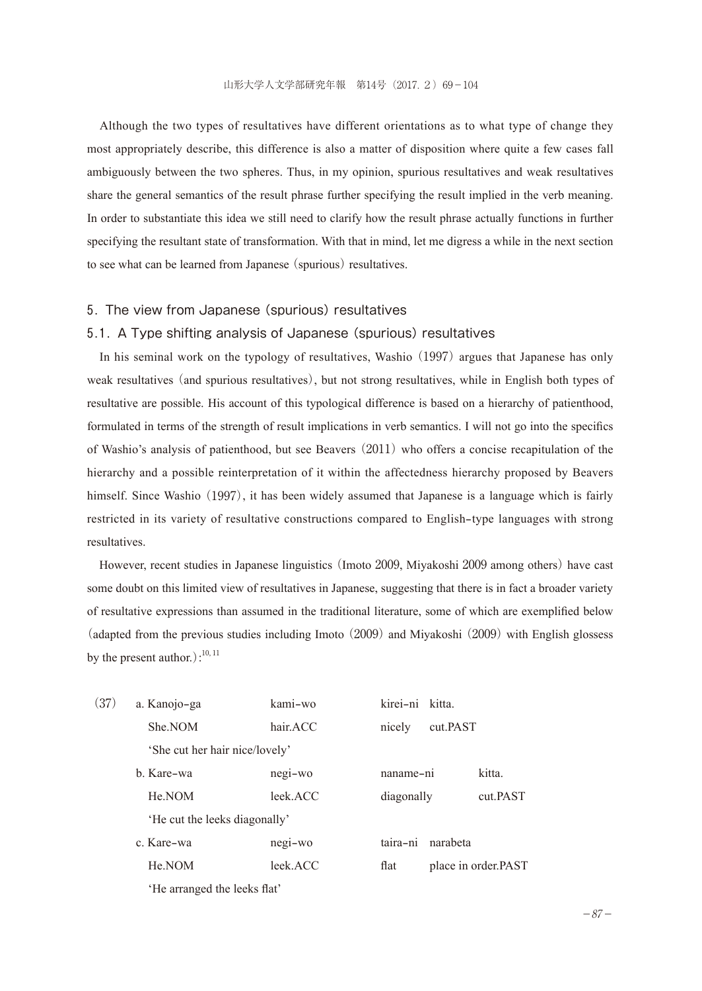Although the two types of resultatives have different orientations as to what type of change they most appropriately describe, this difference is also a matter of disposition where quite a few cases fall ambiguously between the two spheres. Thus, in my opinion, spurious resultatives and weak resultatives share the general semantics of the result phrase further specifying the result implied in the verb meaning. In order to substantiate this idea we still need to clarify how the result phrase actually functions in further specifying the resultant state of transformation. With that in mind, let me digress a while in the next section to see what can be learned from Japanese (spurious) resultatives.

### 5. The view from Japanese (spurious) resultatives

#### 5.1. A Type shifting analysis of Japanese (spurious) resultatives

In his seminal work on the typology of resultatives, Washio (1997) argues that Japanese has only weak resultatives (and spurious resultatives), but not strong resultatives, while in English both types of resultative are possible. His account of this typological difference is based on a hierarchy of patienthood, formulated in terms of the strength of result implications in verb semantics. I will not go into the specifics of Washio's analysis of patienthood, but see Beavers (2011) who offers a concise recapitulation of the hierarchy and a possible reinterpretation of it within the affectedness hierarchy proposed by Beavers himself. Since Washio (1997), it has been widely assumed that Japanese is a language which is fairly restricted in its variety of resultative constructions compared to English-type languages with strong resultatives.

However, recent studies in Japanese linguistics (Imoto 2009, Miyakoshi 2009 among others) have cast some doubt on this limited view of resultatives in Japanese, suggesting that there is in fact a broader variety of resultative expressions than assumed in the traditional literature, some of which are exemplified below (adapted from the previous studies including Imoto (2009) and Miyakoshi (2009) with English glossess by the present author.): $10, 11$ 

| (37) | a. Kanojo-ga                   | kami-wo  | kirei-ni kitta.             |          |  |
|------|--------------------------------|----------|-----------------------------|----------|--|
|      | She.NOM                        | hair.ACC | nicely<br>cut.PAST          |          |  |
|      | 'She cut her hair nice/lovely' |          |                             |          |  |
|      | b. Kare-wa                     | negi-wo  | naname-ni                   | kitta.   |  |
|      | He.NOM                         | leek.ACC | diagonally                  | cut PAST |  |
|      | 'He cut the leeks diagonally'  |          |                             |          |  |
|      | c. Kare-wa                     | negi-wo  | narabeta<br>taira-ni        |          |  |
|      | He.NOM                         | leek.ACC | place in order.PAST<br>flat |          |  |
|      | 'He arranged the leeks flat'   |          |                             |          |  |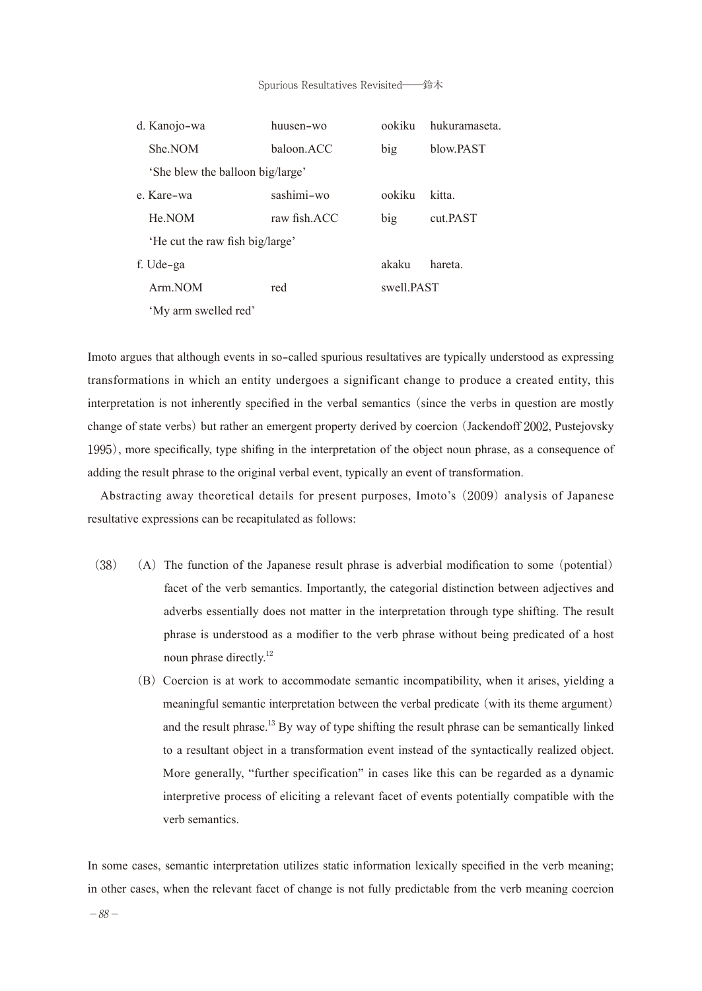| d. Kanojo-wa                     | huusen-wo    | ookiku     | hukuramaseta. |  |
|----------------------------------|--------------|------------|---------------|--|
| She.NOM                          | baloon ACC   | big        | blow PAST     |  |
| 'She blew the balloon big/large' |              |            |               |  |
| e. Kare-wa                       | sashimi-wo   | ookiku     | kitta.        |  |
| He.NOM                           | raw fish ACC | big        | cut.PAST      |  |
| 'He cut the raw fish big/large'  |              |            |               |  |
| f. Ude-ga                        |              | akaku      | hareta.       |  |
| Arm.NOM                          | red          | swell PAST |               |  |
| 'My arm swelled red'             |              |            |               |  |

Imoto argues that although events in so-called spurious resultatives are typically understood as expressing transformations in which an entity undergoes a significant change to produce a created entity, this interpretation is not inherently specified in the verbal semantics (since the verbs in question are mostly change of state verbs) but rather an emergent property derived by coercion (Jackendoff 2002, Pustejovsky 1995), more specifically, type shifing in the interpretation of the object noun phrase, as a consequence of adding the result phrase to the original verbal event, typically an event of transformation.

Abstracting away theoretical details for present purposes, Imoto's (2009) analysis of Japanese resultative expressions can be recapitulated as follows:

- $(38)$  (A) The function of the Japanese result phrase is adverbial modification to some (potential) facet of the verb semantics. Importantly, the categorial distinction between adjectives and adverbs essentially does not matter in the interpretation through type shifting. The result phrase is understood as a modifier to the verb phrase without being predicated of a host noun phrase directly.<sup>12</sup>
	- (B)Coercion is at work to accommodate semantic incompatibility, when it arises, yielding a meaningful semantic interpretation between the verbal predicate (with its theme argument) and the result phrase.<sup>13</sup> By way of type shifting the result phrase can be semantically linked to a resultant object in a transformation event instead of the syntactically realized object. More generally, "further specification" in cases like this can be regarded as a dynamic interpretive process of eliciting a relevant facet of events potentially compatible with the verb semantics.

In some cases, semantic interpretation utilizes static information lexically specified in the verb meaning; in other cases, when the relevant facet of change is not fully predictable from the verb meaning coercion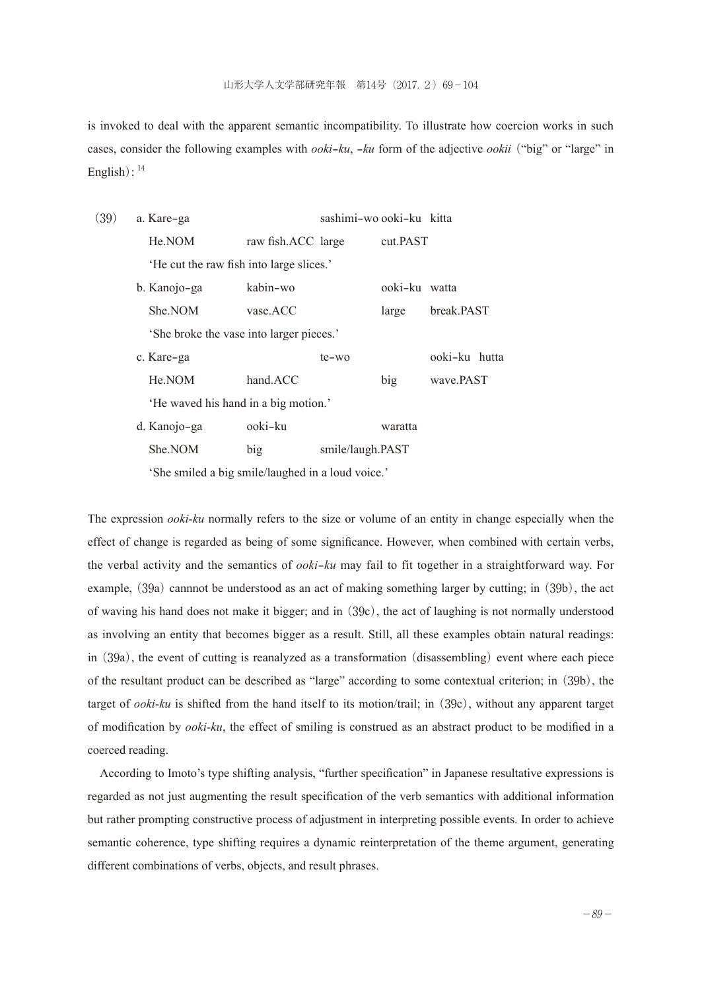is invoked to deal with the apparent semantic incompatibility. To illustrate how coercion works in such cases, consider the following examples with *ooki*-*ku*, -*ku* form of the adjective *ookii*("big" or "large" in English):  $14$ 

| (39) | a. Kare-ga                                        |                    | sashimi-wo ooki-ku kitta |               |               |  |
|------|---------------------------------------------------|--------------------|--------------------------|---------------|---------------|--|
|      | He.NOM                                            | raw fish.ACC large |                          | cut.PAST      |               |  |
|      | 'He cut the raw fish into large slices.'          |                    |                          |               |               |  |
|      | b. Kanojo-ga                                      | kabin-wo           |                          | ooki-ku watta |               |  |
|      | She.NOM                                           | vase.ACC           |                          | large         | break.PAST    |  |
|      | She broke the vase into larger pieces.'           |                    |                          |               |               |  |
|      | c. Kare-ga                                        |                    | $te-wo$                  |               | ooki-ku hutta |  |
|      | He.NOM                                            | hand.ACC           |                          | big           | wave.PAST     |  |
|      | 'He waved his hand in a big motion.'              |                    |                          |               |               |  |
|      | d. Kanojo-ga                                      | ooki-ku            |                          | waratta       |               |  |
|      | She.NOM                                           | big                | smile/laugh.PAST         |               |               |  |
|      | 'She smiled a big smile/laughed in a loud voice.' |                    |                          |               |               |  |

The expression *ooki-ku* normally refers to the size or volume of an entity in change especially when the effect of change is regarded as being of some significance. However, when combined with certain verbs, the verbal activity and the semantics of *ooki*-*ku* may fail to fit together in a straightforward way. For example, (39a) cannnot be understood as an act of making something larger by cutting; in (39b), the act of waving his hand does not make it bigger; and in (39c), the act of laughing is not normally understood as involving an entity that becomes bigger as a result. Still, all these examples obtain natural readings: in (39a), the event of cutting is reanalyzed as a transformation (disassembling) event where each piece of the resultant product can be described as "large" according to some contextual criterion; in (39b), the target of *ooki-ku* is shifted from the hand itself to its motion/trail; in (39c), without any apparent target of modification by *ooki-ku*, the effect of smiling is construed as an abstract product to be modified in a coerced reading.

According to Imoto's type shifting analysis, "further specification" in Japanese resultative expressions is regarded as not just augmenting the result specification of the verb semantics with additional information but rather prompting constructive process of adjustment in interpreting possible events. In order to achieve semantic coherence, type shifting requires a dynamic reinterpretation of the theme argument, generating different combinations of verbs, objects, and result phrases.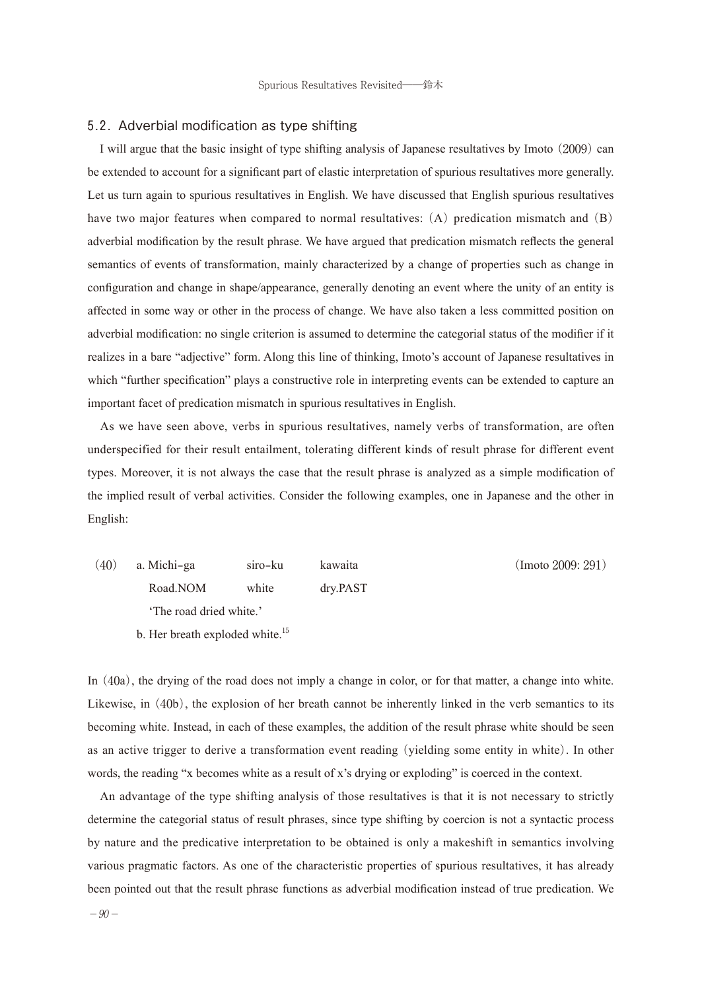#### 5.2. Adverbial modification as type shifting

I will argue that the basic insight of type shifting analysis of Japanese resultatives by Imoto (2009) can be extended to account for a significant part of elastic interpretation of spurious resultatives more generally. Let us turn again to spurious resultatives in English. We have discussed that English spurious resultatives have two major features when compared to normal resultatives: (A) predication mismatch and (B) adverbial modification by the result phrase. We have argued that predication mismatch reflects the general semantics of events of transformation, mainly characterized by a change of properties such as change in configuration and change in shape/appearance, generally denoting an event where the unity of an entity is affected in some way or other in the process of change. We have also taken a less committed position on adverbial modification: no single criterion is assumed to determine the categorial status of the modifier if it realizes in a bare "adjective" form. Along this line of thinking, Imoto's account of Japanese resultatives in which "further specification" plays a constructive role in interpreting events can be extended to capture an important facet of predication mismatch in spurious resultatives in English.

As we have seen above, verbs in spurious resultatives, namely verbs of transformation, are often underspecified for their result entailment, tolerating different kinds of result phrase for different event types. Moreover, it is not always the case that the result phrase is analyzed as a simple modification of the implied result of verbal activities. Consider the following examples, one in Japanese and the other in English:

(40) a. Michi-ga siro-ku kawaita (Imoto 2009: 291) Road.NOM white dry.PAST 'The road dried white.' b. Her breath exploded white.<sup>15</sup>

In (40a), the drying of the road does not imply a change in color, or for that matter, a change into white. Likewise, in (40b), the explosion of her breath cannot be inherently linked in the verb semantics to its becoming white. Instead, in each of these examples, the addition of the result phrase white should be seen as an active trigger to derive a transformation event reading (yielding some entity in white). In other words, the reading "x becomes white as a result of x's drying or exploding" is coerced in the context.

An advantage of the type shifting analysis of those resultatives is that it is not necessary to strictly determine the categorial status of result phrases, since type shifting by coercion is not a syntactic process by nature and the predicative interpretation to be obtained is only a makeshift in semantics involving various pragmatic factors. As one of the characteristic properties of spurious resultatives, it has already been pointed out that the result phrase functions as adverbial modification instead of true predication. We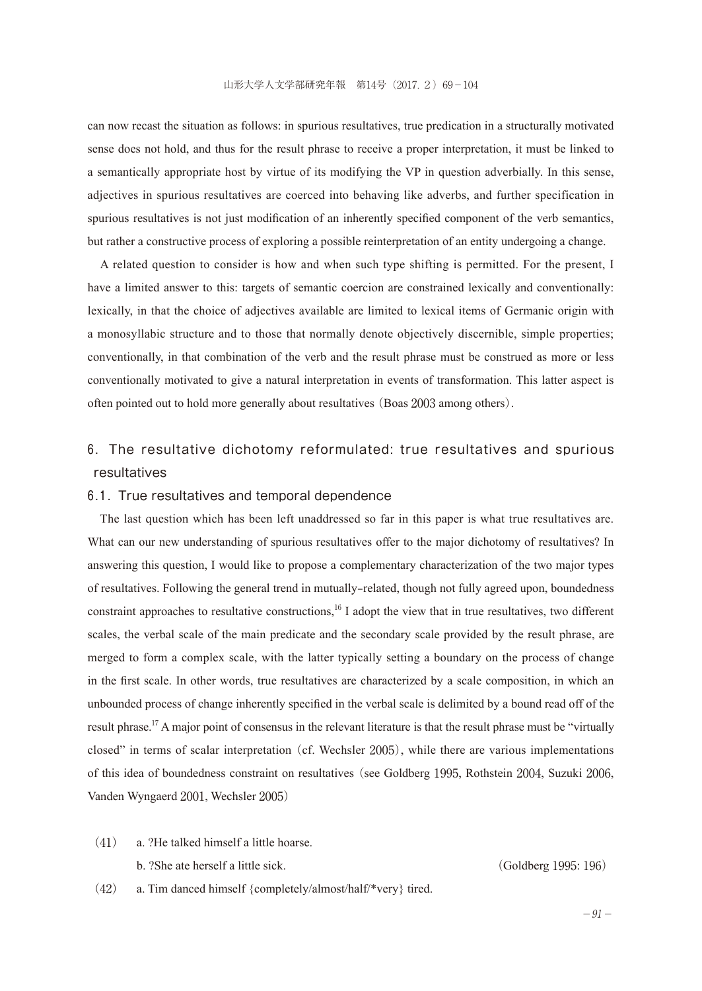can now recast the situation as follows: in spurious resultatives, true predication in a structurally motivated sense does not hold, and thus for the result phrase to receive a proper interpretation, it must be linked to a semantically appropriate host by virtue of its modifying the VP in question adverbially. In this sense, adjectives in spurious resultatives are coerced into behaving like adverbs, and further specification in spurious resultatives is not just modification of an inherently specified component of the verb semantics, but rather a constructive process of exploring a possible reinterpretation of an entity undergoing a change.

A related question to consider is how and when such type shifting is permitted. For the present, I have a limited answer to this: targets of semantic coercion are constrained lexically and conventionally: lexically, in that the choice of adjectives available are limited to lexical items of Germanic origin with a monosyllabic structure and to those that normally denote objectively discernible, simple properties; conventionally, in that combination of the verb and the result phrase must be construed as more or less conventionally motivated to give a natural interpretation in events of transformation. This latter aspect is often pointed out to hold more generally about resultatives (Boas 2003 among others).

## 6. The resultative dichotomy reformulated: true resultatives and spurious resultatives

#### 6.1. True resultatives and temporal dependence

The last question which has been left unaddressed so far in this paper is what true resultatives are. What can our new understanding of spurious resultatives offer to the major dichotomy of resultatives? In answering this question, I would like to propose a complementary characterization of the two major types of resultatives. Following the general trend in mutually-related, though not fully agreed upon, boundedness constraint approaches to resultative constructions,<sup>16</sup> I adopt the view that in true resultatives, two different scales, the verbal scale of the main predicate and the secondary scale provided by the result phrase, are merged to form a complex scale, with the latter typically setting a boundary on the process of change in the first scale. In other words, true resultatives are characterized by a scale composition, in which an unbounded process of change inherently specified in the verbal scale is delimited by a bound read off of the result phrase.<sup>17</sup> A major point of consensus in the relevant literature is that the result phrase must be "virtually closed" in terms of scalar interpretation (cf. Wechsler 2005), while there are various implementations of this idea of boundedness constraint on resultatives (see Goldberg 1995, Rothstein 2004, Suzuki 2006, Vanden Wyngaerd 2001, Wechsler 2005)

(41) a. ?He talked himself a little hoarse.

b. ?She ate herself a little sick. (Goldberg 1995: 196)

(42) a. Tim danced himself {completely/almost/half/\*very} tired.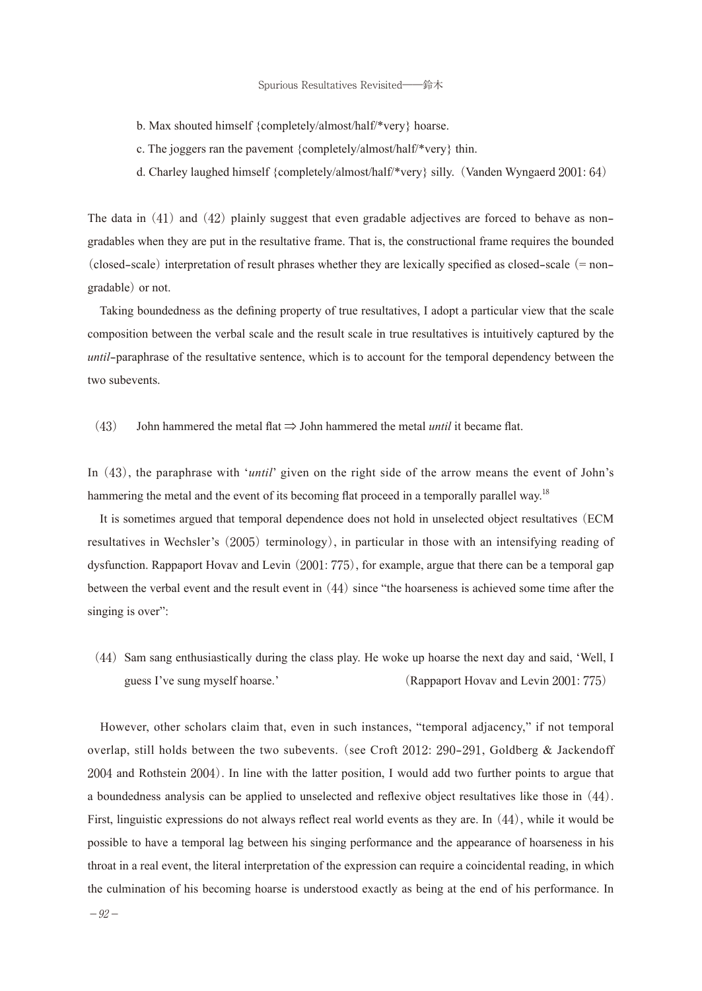- b. Max shouted himself {completely/almost/half/\*very} hoarse.
- c. The joggers ran the pavement {completely/almost/half/\*very} thin.
- d. Charley laughed himself {completely/almost/half/\*very} silly.(Vanden Wyngaerd 2001: 64)

The data in (41) and (42) plainly suggest that even gradable adjectives are forced to behave as nongradables when they are put in the resultative frame. That is, the constructional frame requires the bounded (closed-scale) interpretation of result phrases whether they are lexically specified as closed-scale  $(= non$ gradable) or not.

Taking boundedness as the defining property of true resultatives, I adopt a particular view that the scale composition between the verbal scale and the result scale in true resultatives is intuitively captured by the *until*-paraphrase of the resultative sentence, which is to account for the temporal dependency between the two subevents.

(43) John hammered the metal flat ⇒ John hammered the metal *until* it became flat.

In (43), the paraphrase with '*until*' given on the right side of the arrow means the event of John's hammering the metal and the event of its becoming flat proceed in a temporally parallel way.<sup>18</sup>

It is sometimes argued that temporal dependence does not hold in unselected object resultatives (ECM resultatives in Wechsler's (2005) terminology), in particular in those with an intensifying reading of dysfunction. Rappaport Hovav and Levin (2001: 775), for example, argue that there can be a temporal gap between the verbal event and the result event in (44) since "the hoarseness is achieved some time after the singing is over":

(44) Sam sang enthusiastically during the class play. He woke up hoarse the next day and said, 'Well, I guess I've sung myself hoarse.' (Rappaport Hovav and Levin 2001: 775)

However, other scholars claim that, even in such instances, "temporal adjacency," if not temporal overlap, still holds between the two subevents. (see Croft 2012: 290-291, Goldberg & Jackendoff 2004 and Rothstein 2004). In line with the latter position, I would add two further points to argue that a boundedness analysis can be applied to unselected and reflexive object resultatives like those in(44). First, linguistic expressions do not always reflect real world events as they are. In (44), while it would be possible to have a temporal lag between his singing performance and the appearance of hoarseness in his throat in a real event, the literal interpretation of the expression can require a coincidental reading, in which the culmination of his becoming hoarse is understood exactly as being at the end of his performance. In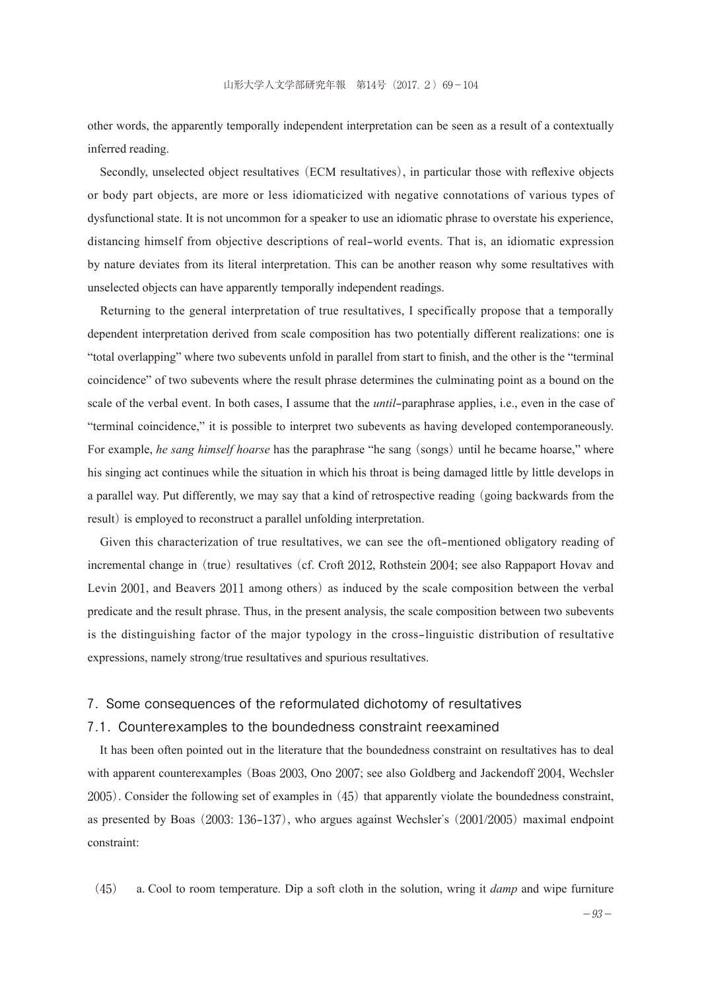other words, the apparently temporally independent interpretation can be seen as a result of a contextually inferred reading.

Secondly, unselected object resultatives (ECM resultatives), in particular those with reflexive objects or body part objects, are more or less idiomaticized with negative connotations of various types of dysfunctional state. It is not uncommon for a speaker to use an idiomatic phrase to overstate his experience, distancing himself from objective descriptions of real-world events. That is, an idiomatic expression by nature deviates from its literal interpretation. This can be another reason why some resultatives with unselected objects can have apparently temporally independent readings.

Returning to the general interpretation of true resultatives, I specifically propose that a temporally dependent interpretation derived from scale composition has two potentially different realizations: one is "total overlapping" where two subevents unfold in parallel from start to finish, and the other is the "terminal coincidence" of two subevents where the result phrase determines the culminating point as a bound on the scale of the verbal event. In both cases, I assume that the *until*-paraphrase applies, i.e., even in the case of "terminal coincidence," it is possible to interpret two subevents as having developed contemporaneously. For example, *he sang himself hoarse* has the paraphrase "he sang (songs) until he became hoarse," where his singing act continues while the situation in which his throat is being damaged little by little develops in a parallel way. Put differently, we may say that a kind of retrospective reading (going backwards from the result) is employed to reconstruct a parallel unfolding interpretation.

Given this characterization of true resultatives, we can see the oft-mentioned obligatory reading of incremental change in (true) resultatives (cf. Croft 2012, Rothstein 2004; see also Rappaport Hovav and Levin 2001, and Beavers 2011 among others) as induced by the scale composition between the verbal predicate and the result phrase. Thus, in the present analysis, the scale composition between two subevents is the distinguishing factor of the major typology in the cross-linguistic distribution of resultative expressions, namely strong/true resultatives and spurious resultatives.

#### 7. Some consequences of the reformulated dichotomy of resultatives

## 7.1. Counterexamples to the boundedness constraint reexamined

It has been often pointed out in the literature that the boundedness constraint on resultatives has to deal with apparent counterexamples (Boas 2003, Ono 2007; see also Goldberg and Jackendoff 2004, Wechsler 2005). Consider the following set of examples in (45) that apparently violate the boundedness constraint, as presented by Boas (2003: 136-137), who argues against Wechsler's (2001/2005) maximal endpoint constraint:

(45) a. Cool to room temperature. Dip a soft cloth in the solution, wring it *damp* and wipe furniture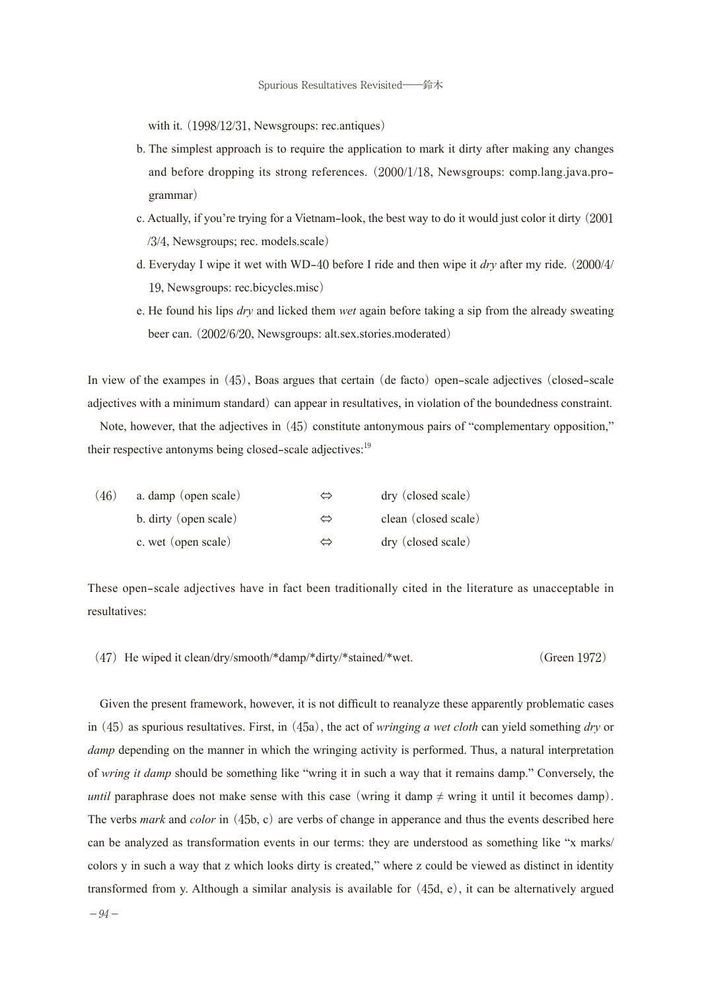with it. (1998/12/31, Newsgroups: rec.antiques)

- b. The simplest approach is to require the application to mark it dirty after making any changes and before dropping its strong references. (2000/1/18, Newsgroups: comp.lang.java.programmar)
- c. Actually, if you're trying for a Vietnam-look, the best way to do it would just color it dirty (2001 /3/4, Newsgroups; rec. models.scale)
- d. Everyday I wipe it wet with WD-40 before I ride and then wipe it *dry* after my ride. (2000/4/ 19, Newsgroups: rec.bicycles.misc)
- e. He found his lips *dry* and licked them *wet* again before taking a sip from the already sweating beer can. (2002/6/20, Newsgroups: alt.sex.stories.moderated)

In view of the exampes in (45), Boas argues that certain (de facto) open-scale adjectives (closed-scale adjectives with a minimum standard) can appear in resultatives, in violation of the boundedness constraint.

Note, however, that the adjectives in (45) constitute antonymous pairs of "complementary opposition," their respective antonyms being closed-scale adjectives:<sup>19</sup>

| (46) | a. damp (open scale)  |   | dry (closed scale)   |
|------|-----------------------|---|----------------------|
|      | b. dirty (open scale) |   | clean (closed scale) |
|      | c. wet (open scale)   | ⇔ | dry (closed scale)   |

These open-scale adjectives have in fact been traditionally cited in the literature as unacceptable in resultatives:

(47) He wiped it clean/dry/smooth/\*damp/\*dirty/\*stained/\*wet. (Green 1972)

Given the present framework, however, it is not difficult to reanalyze these apparently problematic cases in (45) as spurious resultatives. First, in (45a), the act of *wringing a wet cloth* can yield something *dry* or *damp* depending on the manner in which the wringing activity is performed. Thus, a natural interpretation of *wring it damp* should be something like "wring it in such a way that it remains damp." Conversely, the *until* paraphrase does not make sense with this case (wring it damp  $\neq$  wring it until it becomes damp). The verbs *mark* and *color* in (45b, c) are verbs of change in apperance and thus the events described here can be analyzed as transformation events in our terms: they are understood as something like "x marks/ colors y in such a way that z which looks dirty is created," where z could be viewed as distinct in identity transformed from y. Although a similar analysis is available for (45d, e), it can be alternatively argued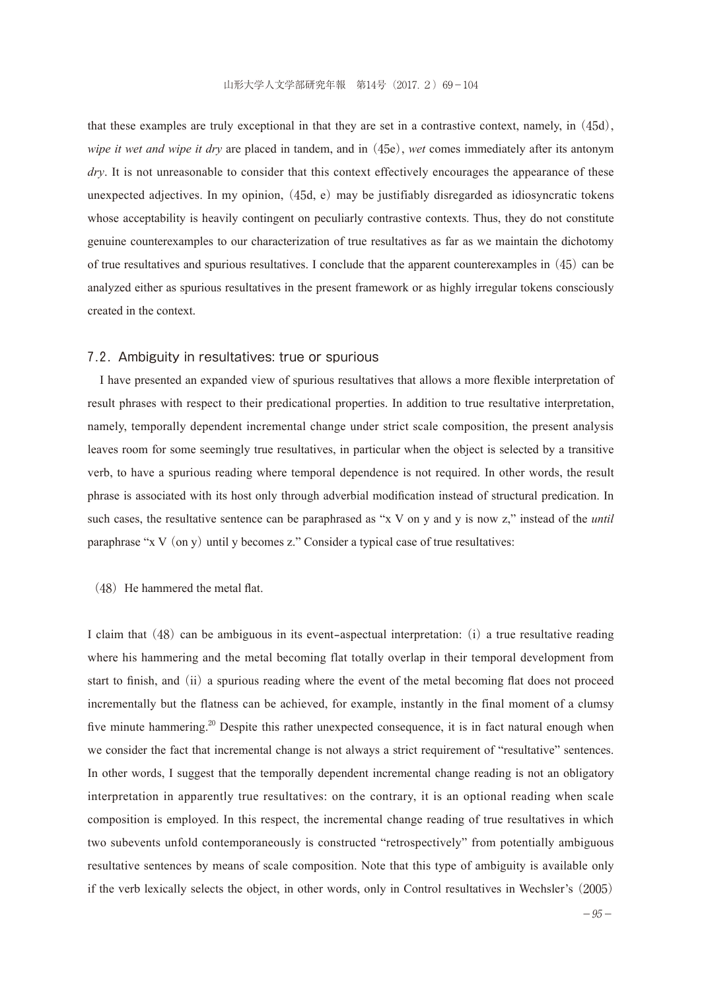that these examples are truly exceptional in that they are set in a contrastive context, namely, in (45d), *wipe it wet and wipe it dry* are placed in tandem, and in (45e), *wet* comes immediately after its antonym *dry*. It is not unreasonable to consider that this context effectively encourages the appearance of these unexpected adjectives. In my opinion, (45d, e) may be justifiably disregarded as idiosyncratic tokens whose acceptability is heavily contingent on peculiarly contrastive contexts. Thus, they do not constitute genuine counterexamples to our characterization of true resultatives as far as we maintain the dichotomy of true resultatives and spurious resultatives. I conclude that the apparent counterexamples in (45) can be analyzed either as spurious resultatives in the present framework or as highly irregular tokens consciously created in the context.

#### 7.2. Ambiguity in resultatives: true or spurious

I have presented an expanded view of spurious resultatives that allows a more flexible interpretation of result phrases with respect to their predicational properties. In addition to true resultative interpretation, namely, temporally dependent incremental change under strict scale composition, the present analysis leaves room for some seemingly true resultatives, in particular when the object is selected by a transitive verb, to have a spurious reading where temporal dependence is not required. In other words, the result phrase is associated with its host only through adverbial modification instead of structural predication. In such cases, the resultative sentence can be paraphrased as "x V on y and y is now z," instead of the *until* paraphrase "x V (on y) until y becomes z." Consider a typical case of true resultatives:

#### $(48)$  He hammered the metal flat.

I claim that (48) can be ambiguous in its event-aspectual interpretation: (i) a true resultative reading where his hammering and the metal becoming flat totally overlap in their temporal development from start to finish, and (ii) a spurious reading where the event of the metal becoming flat does not proceed incrementally but the flatness can be achieved, for example, instantly in the final moment of a clumsy five minute hammering.<sup>20</sup> Despite this rather unexpected consequence, it is in fact natural enough when we consider the fact that incremental change is not always a strict requirement of "resultative" sentences. In other words, I suggest that the temporally dependent incremental change reading is not an obligatory interpretation in apparently true resultatives: on the contrary, it is an optional reading when scale composition is employed. In this respect, the incremental change reading of true resultatives in which two subevents unfold contemporaneously is constructed "retrospectively" from potentially ambiguous resultative sentences by means of scale composition. Note that this type of ambiguity is available only if the verb lexically selects the object, in other words, only in Control resultatives in Wechsler's (2005)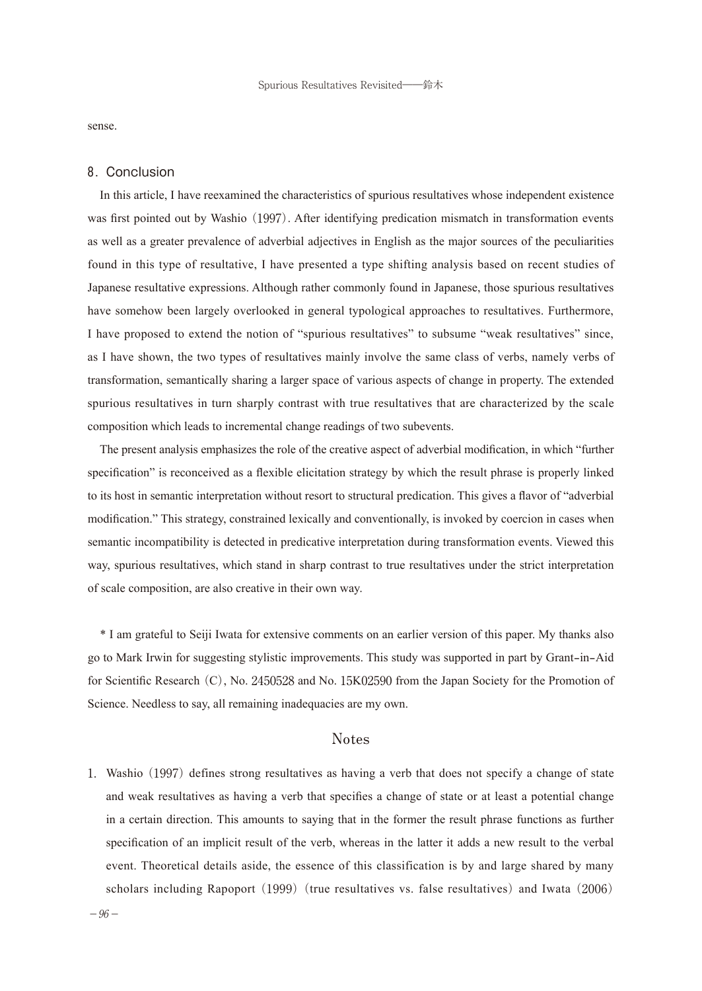sense.

### 8. Conclusion

In this article, I have reexamined the characteristics of spurious resultatives whose independent existence was first pointed out by Washio (1997). After identifying predication mismatch in transformation events as well as a greater prevalence of adverbial adjectives in English as the major sources of the peculiarities found in this type of resultative, I have presented a type shifting analysis based on recent studies of Japanese resultative expressions. Although rather commonly found in Japanese, those spurious resultatives have somehow been largely overlooked in general typological approaches to resultatives. Furthermore, I have proposed to extend the notion of "spurious resultatives" to subsume "weak resultatives" since, as I have shown, the two types of resultatives mainly involve the same class of verbs, namely verbs of transformation, semantically sharing a larger space of various aspects of change in property. The extended spurious resultatives in turn sharply contrast with true resultatives that are characterized by the scale composition which leads to incremental change readings of two subevents.

The present analysis emphasizes the role of the creative aspect of adverbial modification, in which "further specification" is reconceived as a flexible elicitation strategy by which the result phrase is properly linked to its host in semantic interpretation without resort to structural predication. This gives a flavor of "adverbial modification." This strategy, constrained lexically and conventionally, is invoked by coercion in cases when semantic incompatibility is detected in predicative interpretation during transformation events. Viewed this way, spurious resultatives, which stand in sharp contrast to true resultatives under the strict interpretation of scale composition, are also creative in their own way.

\* I am grateful to Seiji Iwata for extensive comments on an earlier version of this paper. My thanks also go to Mark Irwin for suggesting stylistic improvements. This study was supported in part by Grant-in-Aid for Scientific Research (C), No. 2450528 and No. 15K02590 from the Japan Society for the Promotion of Science. Needless to say, all remaining inadequacies are my own.

## **Notes**

1.Washio (1997) defines strong resultatives as having a verb that does not specify a change of state and weak resultatives as having a verb that specifies a change of state or at least a potential change in a certain direction. This amounts to saying that in the former the result phrase functions as further specification of an implicit result of the verb, whereas in the latter it adds a new result to the verbal event. Theoretical details aside, the essence of this classification is by and large shared by many scholars including Rapoport  $(1999)$  (true resultatives vs. false resultatives) and Iwata  $(2006)$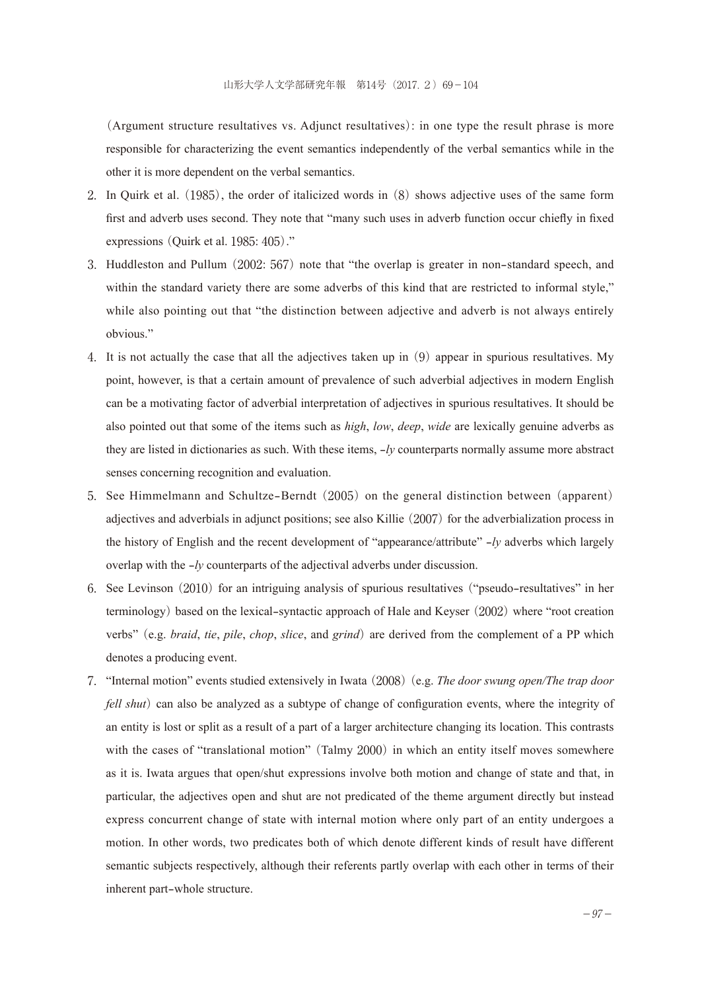(Argument structure resultatives vs. Adjunct resultatives): in one type the result phrase is more responsible for characterizing the event semantics independently of the verbal semantics while in the other it is more dependent on the verbal semantics.

- 2.In Quirk et al. (1985), the order of italicized words in (8) shows adjective uses of the same form first and adverb uses second. They note that "many such uses in adverb function occur chiefly in fixed expressions (Quirk et al. 1985: 405)."
- 3.Huddleston and Pullum (2002: 567) note that "the overlap is greater in non-standard speech, and within the standard variety there are some adverbs of this kind that are restricted to informal style," while also pointing out that "the distinction between adjective and adverb is not always entirely obvious."
- 4.It is not actually the case that all the adjectives taken up in (9) appear in spurious resultatives. My point, however, is that a certain amount of prevalence of such adverbial adjectives in modern English can be a motivating factor of adverbial interpretation of adjectives in spurious resultatives. It should be also pointed out that some of the items such as *high*, *low*, *deep*, *wide* are lexically genuine adverbs as they are listed in dictionaries as such. With these items, -*ly* counterparts normally assume more abstract senses concerning recognition and evaluation.
- 5.See Himmelmann and Schultze-Berndt (2005) on the general distinction between (apparent) adjectives and adverbials in adjunct positions; see also Killie (2007) for the adverbialization process in the history of English and the recent development of "appearance/attribute" -*ly* adverbs which largely overlap with the -*ly* counterparts of the adjectival adverbs under discussion.
- 6.See Levinson (2010) for an intriguing analysis of spurious resultatives ("pseudo-resultatives" in her terminology) based on the lexical-syntactic approach of Hale and Keyser (2002) where "root creation verbs" (e.g. *braid*, *tie*, *pile*, *chop*, *slice*, and *grind*) are derived from the complement of a PP which denotes a producing event.
- 7."Internal motion" events studied extensively in Iwata (2008)(e.g. *The door swung open/The trap door fell shut*) can also be analyzed as a subtype of change of configuration events, where the integrity of an entity is lost or split as a result of a part of a larger architecture changing its location. This contrasts with the cases of "translational motion" (Talmy 2000) in which an entity itself moves somewhere as it is. Iwata argues that open/shut expressions involve both motion and change of state and that, in particular, the adjectives open and shut are not predicated of the theme argument directly but instead express concurrent change of state with internal motion where only part of an entity undergoes a motion. In other words, two predicates both of which denote different kinds of result have different semantic subjects respectively, although their referents partly overlap with each other in terms of their inherent part-whole structure.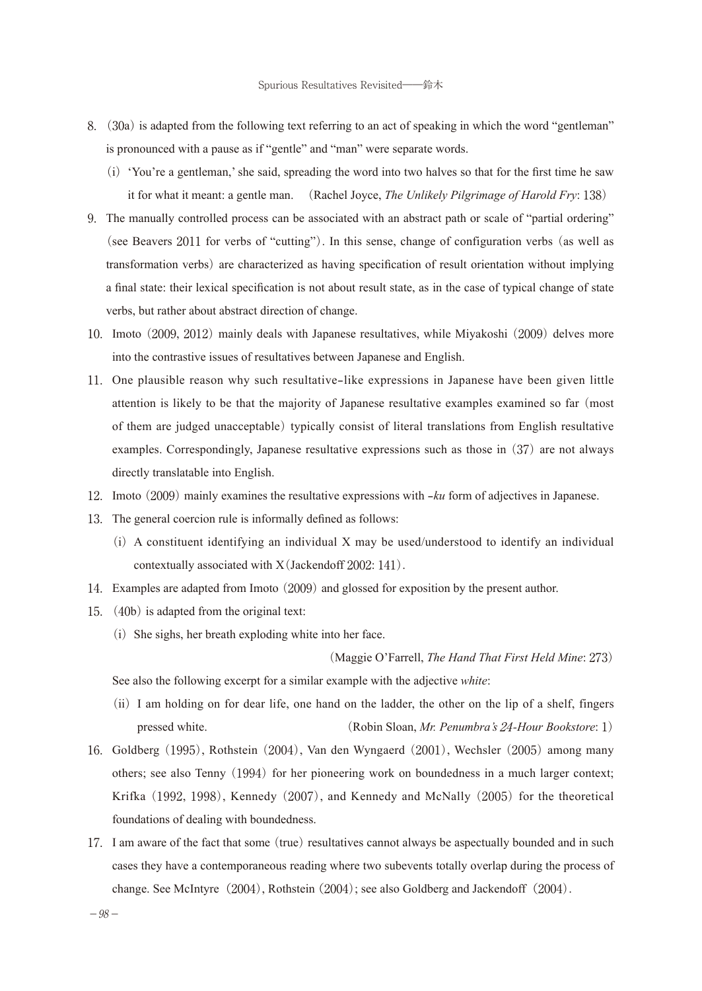- 8.(30a) is adapted from the following text referring to an act of speaking in which the word "gentleman" is pronounced with a pause as if "gentle" and "man" were separate words.
	- (i)'You're a gentleman,' she said, spreading the word into two halves so that for the first time he saw it for what it meant: a gentle man. (Rachel Joyce, *The Unlikely Pilgrimage of Harold Fry*: 138)
- 9.The manually controlled process can be associated with an abstract path or scale of "partial ordering" (see Beavers 2011 for verbs of "cutting"). In this sense, change of configuration verbs (as well as transformation verbs) are characterized as having specification of result orientation without implying a final state: their lexical specification is not about result state, as in the case of typical change of state verbs, but rather about abstract direction of change.
- 10.Imoto (2009, 2012) mainly deals with Japanese resultatives, while Miyakoshi (2009) delves more into the contrastive issues of resultatives between Japanese and English.
- 11.One plausible reason why such resultative-like expressions in Japanese have been given little attention is likely to be that the majority of Japanese resultative examples examined so far (most of them are judged unacceptable) typically consist of literal translations from English resultative examples. Correspondingly, Japanese resultative expressions such as those in (37) are not always directly translatable into English.
- 12.Imoto (2009) mainly examines the resultative expressions with -*ku* form of adjectives in Japanese.
- 13.The general coercion rule is informally defined as follows:
	- $(i)$  A constituent identifying an individual X may be used/understood to identify an individual contextually associated with X(Jackendoff 2002: 141).
- 14.Examples are adapted from Imoto (2009) and glossed for exposition by the present author.
- 15.(40b) is adapted from the original text:
	- $(i)$  She sighs, her breath exploding white into her face.

(Maggie O'Farrell, *The Hand That First Held Mine*: 273)

See also the following excerpt for a similar example with the adjective *white*:

- (ii)I am holding on for dear life, one hand on the ladder, the other on the lip of a shelf, fingers pressed white. (Robin Sloan, *Mr. Penumbra's* 24*-Hour Bookstore*: 1)
- 16.Goldberg (1995), Rothstein (2004), Van den Wyngaerd (2001), Wechsler (2005) among many others; see also Tenny (1994) for her pioneering work on boundedness in a much larger context; Krifka (1992, 1998), Kennedy (2007), and Kennedy and McNally (2005) for the theoretical foundations of dealing with boundedness.
- 17.I am aware of the fact that some (true) resultatives cannot always be aspectually bounded and in such cases they have a contemporaneous reading where two subevents totally overlap during the process of change. See McIntyre (2004), Rothstein (2004); see also Goldberg and Jackendoff (2004).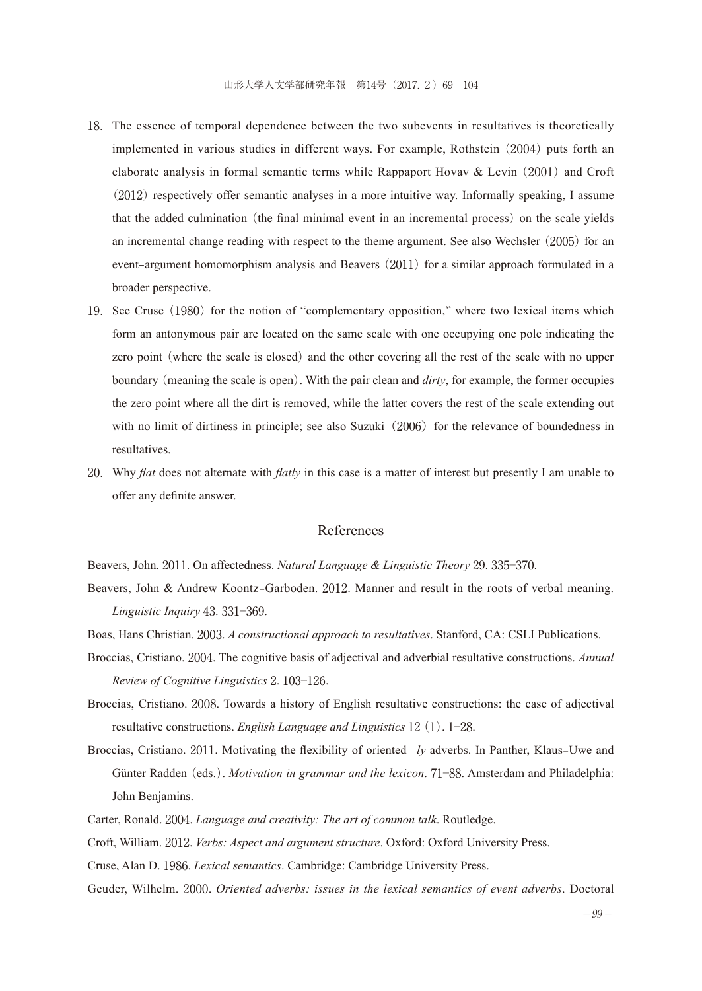- 18.The essence of temporal dependence between the two subevents in resultatives is theoretically implemented in various studies in different ways. For example, Rothstein (2004) puts forth an elaborate analysis in formal semantic terms while Rappaport Hovav  $\&$  Levin (2001) and Croft (2012) respectively offer semantic analyses in a more intuitive way. Informally speaking, I assume that the added culmination (the final minimal event in an incremental process) on the scale yields an incremental change reading with respect to the theme argument. See also Wechsler (2005) for an event-argument homomorphism analysis and Beavers (2011) for a similar approach formulated in a broader perspective.
- 19.See Cruse (1980) for the notion of "complementary opposition," where two lexical items which form an antonymous pair are located on the same scale with one occupying one pole indicating the zero point (where the scale is closed) and the other covering all the rest of the scale with no upper boundary (meaning the scale is open). With the pair clean and *dirty*, for example, the former occupies the zero point where all the dirt is removed, while the latter covers the rest of the scale extending out with no limit of dirtiness in principle; see also Suzuki $(2006)$  for the relevance of boundedness in resultatives.
- 20.Why *flat* does not alternate with *flatly* in this case is a matter of interest but presently I am unable to offer any definite answer.

### References

Beavers, John. 2011. On affectedness. *Natural Language & Linguistic Theory* 29. 335─370.

- Beavers, John & Andrew Koontz-Garboden. 2012. Manner and result in the roots of verbal meaning. *Linguistic Inquiry* 43. 331─369.
- Boas, Hans Christian. 2003. *A constructional approach to resultatives*. Stanford, CA: CSLI Publications.
- Broccias, Cristiano. 2004. The cognitive basis of adjectival and adverbial resultative constructions. *Annual Review of Cognitive Linguistics* 2. 103─126.
- Broccias, Cristiano. 2008. Towards a history of English resultative constructions: the case of adjectival resultative constructions. *English Language and Linguistics* 12(1). 1─28.
- Broccias, Cristiano. 2011. Motivating the flexibility of oriented –*ly* adverbs. In Panther, Klaus-Uwe and Günter Radden (eds.). *Motivation in grammar and the lexicon*. 71─88. Amsterdam and Philadelphia: John Benjamins.
- Carter, Ronald. 2004. *Language and creativity: The art of common talk*. Routledge.
- Croft, William. 2012. *Verbs: Aspect and argument structure*. Oxford: Oxford University Press.
- Cruse, Alan D. 1986. *Lexical semantics*. Cambridge: Cambridge University Press.
- Geuder, Wilhelm. 2000. *Oriented adverbs: issues in the lexical semantics of event adverbs*. Doctoral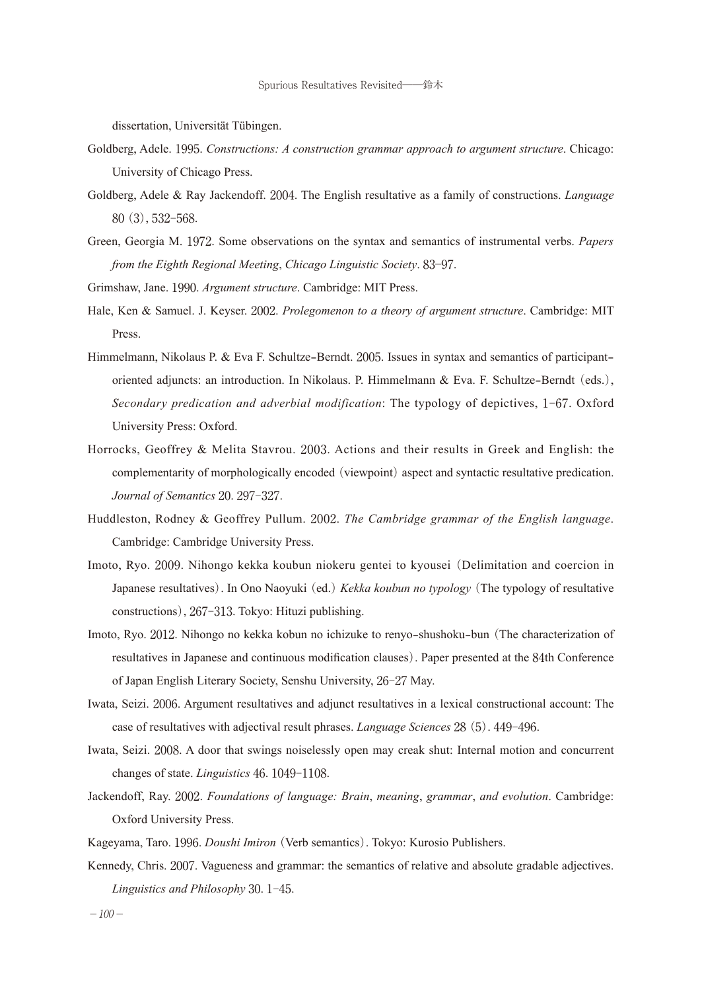dissertation, Universität Tübingen.

- Goldberg, Adele. 1995. *Constructions: A construction grammar approach to argument structure*. Chicago: University of Chicago Press.
- Goldberg, Adele & Ray Jackendoff. 2004. The English resultative as a family of constructions. *Language*  80(3), 532-568.
- Green, Georgia M. 1972. Some observations on the syntax and semantics of instrumental verbs. *Papers from the Eighth Regional Meeting*, *Chicago Linguistic Society*. 83─97.

Grimshaw, Jane. 1990. *Argument structure*. Cambridge: MIT Press.

- Hale, Ken & Samuel. J. Keyser. 2002. *Prolegomenon to a theory of argument structure*. Cambridge: MIT Press.
- Himmelmann, Nikolaus P. & Eva F. Schultze-Berndt. 2005. Issues in syntax and semantics of participantoriented adjuncts: an introduction. In Nikolaus. P. Himmelmann & Eva. F. Schultze-Berndt (eds.), *Secondary predication and adverbial modification*: The typology of depictives, 1-67. Oxford University Press: Oxford.
- Horrocks, Geoffrey & Melita Stavrou. 2003. Actions and their results in Greek and English: the complementarity of morphologically encoded (viewpoint) aspect and syntactic resultative predication. *Journal of Semantics* 20. 297-327.
- Huddleston, Rodney & Geoffrey Pullum. 2002. *The Cambridge grammar of the English language*. Cambridge: Cambridge University Press.
- Imoto, Ryo. 2009. Nihongo kekka koubun niokeru gentei to kyousei (Delimitation and coercion in Japanese resultatives). In Ono Naoyuki (ed.)*Kekka koubun no typology*(The typology of resultative constructions), 267-313. Tokyo: Hituzi publishing.
- Imoto, Ryo. 2012. Nihongo no kekka kobun no ichizuke to renyo-shushoku-bun (The characterization of resultatives in Japanese and continuous modification clauses). Paper presented at the 84th Conference of Japan English Literary Society, Senshu University, 26-27 May.
- Iwata, Seizi. 2006. Argument resultatives and adjunct resultatives in a lexical constructional account: The case of resultatives with adjectival result phrases. *Language Sciences* 28(5). 449-496.
- Iwata, Seizi. 2008. A door that swings noiselessly open may creak shut: Internal motion and concurrent changes of state. *Linguistics* 46. 1049-1108.
- Jackendoff, Ray. 2002. *Foundations of language: Brain*, *meaning*, *grammar*, *and evolution*. Cambridge: Oxford University Press.

Kageyama, Taro. 1996. *Doushi Imiron*(Verb semantics). Tokyo: Kurosio Publishers.

Kennedy, Chris. 2007. Vagueness and grammar: the semantics of relative and absolute gradable adjectives. *Linguistics and Philosophy* 30. 1-45.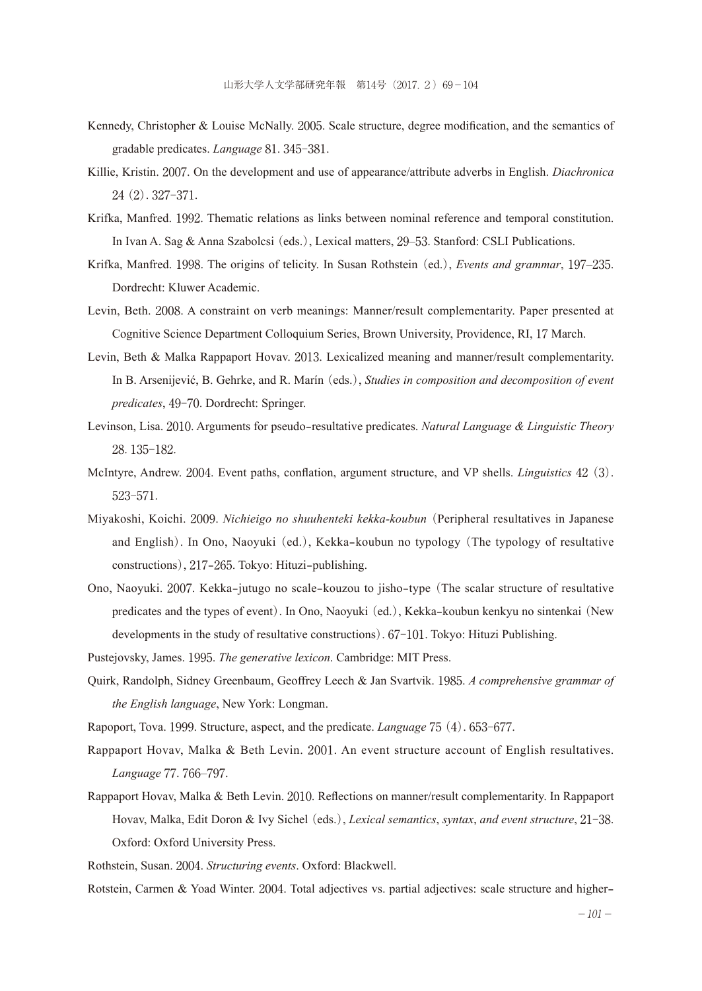- Kennedy, Christopher & Louise McNally. 2005. Scale structure, degree modification, and the semantics of gradable predicates. *Language* 81. 345-381.
- Killie, Kristin. 2007. On the development and use of appearance/attribute adverbs in English. *Diachronica*  24(2). 327-371.
- Krifka, Manfred. 1992. Thematic relations as links between nominal reference and temporal constitution. In Ivan A. Sag & Anna Szabolcsi (eds.), Lexical matters, 29–53. Stanford: CSLI Publications.
- Krifka, Manfred. 1998. The origins of telicity. In Susan Rothstein (ed.), *Events and grammar*, 197–235. Dordrecht: Kluwer Academic.
- Levin, Beth. 2008. A constraint on verb meanings: Manner/result complementarity. Paper presented at Cognitive Science Department Colloquium Series, Brown University, Providence, RI, 17 March.
- Levin, Beth & Malka Rappaport Hovav. 2013. Lexicalized meaning and manner/result complementarity. In B. Arsenijević, B. Gehrke, and R. Marín (eds.), *Studies in composition and decomposition of event predicates*, 49-70. Dordrecht: Springer.
- Levinson, Lisa. 2010. Arguments for pseudo-resultative predicates. *Natural Language & Linguistic Theory*  28. 135-182.
- McIntyre, Andrew. 2004. Event paths, conflation, argument structure, and VP shells. *Linguistics* 42(3). 523-571.
- Miyakoshi, Koichi. 2009. *Nichieigo no shuuhenteki kekka-koubun*(Peripheral resultatives in Japanese and English). In Ono, Naoyuki (ed.), Kekka-koubun no typology (The typology of resultative constructions), 217-265. Tokyo: Hituzi-publishing.
- Ono, Naoyuki. 2007. Kekka-jutugo no scale-kouzou to jisho-type (The scalar structure of resultative predicates and the types of event). In Ono, Naoyuki (ed.), Kekka-koubun kenkyu no sintenkai (New developments in the study of resultative constructions). 67-101. Tokyo: Hituzi Publishing.
- Pustejovsky, James. 1995. *The generative lexicon*. Cambridge: MIT Press.
- Quirk, Randolph, Sidney Greenbaum, Geoffrey Leech & Jan Svartvik. 1985. *A comprehensive grammar of the English language*, New York: Longman.
- Rapoport, Tova. 1999. Structure, aspect, and the predicate. *Language* 75(4). 653-677.
- Rappaport Hovav, Malka & Beth Levin. 2001. An event structure account of English resultatives. *Language* 77. 766–797.
- Rappaport Hovav, Malka & Beth Levin. 2010. Reflections on manner/result complementarity. In Rappaport Hovav, Malka, Edit Doron & Ivy Sichel (eds.), *Lexical semantics*, *syntax*, *and event structure*, 21-38. Oxford: Oxford University Press.
- Rothstein, Susan. 2004. *Structuring events*. Oxford: Blackwell.
- Rotstein, Carmen & Yoad Winter. 2004. Total adjectives vs. partial adjectives: scale structure and higher-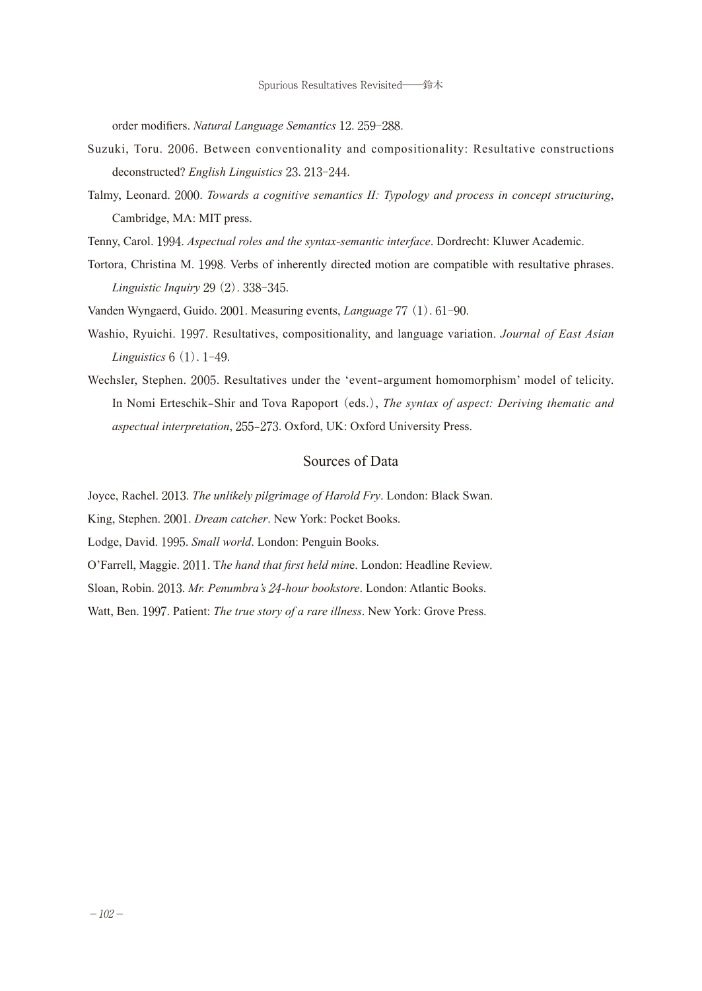order modifiers. *Natural Language Semantics* 12. 259-288.

- Suzuki, Toru. 2006. Between conventionality and compositionality: Resultative constructions deconstructed? *English Linguistics* 23. 213-244.
- Talmy, Leonard. 2000. *Towards a cognitive semantics II: Typology and process in concept structuring*, Cambridge, MA: MIT press.
- Tenny, Carol. 1994. *Aspectual roles and the syntax-semantic interface*. Dordrecht: Kluwer Academic.
- Tortora, Christina M. 1998. Verbs of inherently directed motion are compatible with resultative phrases. *Linguistic Inquiry* 29(2). 338-345.
- Vanden Wyngaerd, Guido. 2001. Measuring events, *Language* 77(1). 61-90.
- Washio, Ryuichi. 1997. Resultatives, compositionality, and language variation. *Journal of East Asian Linguistics* 6(1). 1-49.
- Wechsler, Stephen. 2005. Resultatives under the 'event-argument homomorphism' model of telicity. In Nomi Erteschik-Shir and Tova Rapoport (eds.), *The syntax of aspect: Deriving thematic and aspectual interpretation*, 255-273. Oxford, UK: Oxford University Press.

## Sources of Data

Joyce, Rachel. 2013. *The unlikely pilgrimage of Harold Fry*. London: Black Swan.

King, Stephen. 2001. *Dream catcher*. New York: Pocket Books.

Lodge, David. 1995. *Small world*. London: Penguin Books.

O'Farrell, Maggie. 2011. T*he hand that first held min*e. London: Headline Review.

Sloan, Robin. 2013. *Mr. Penumbra's* 24*-hour bookstore*. London: Atlantic Books.

Watt, Ben. 1997. Patient: *The true story of a rare illness*. New York: Grove Press.